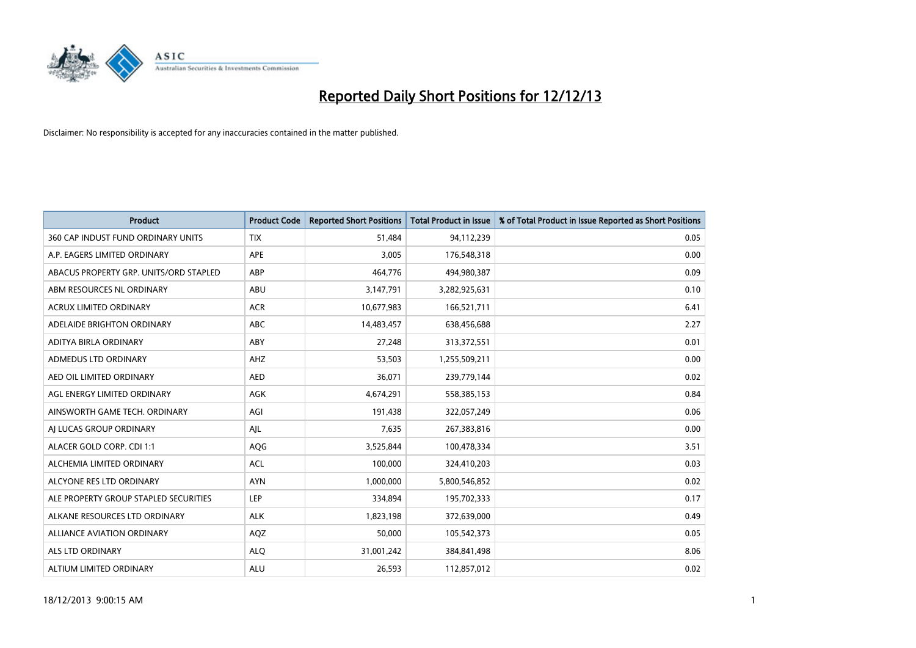

| <b>Product</b>                         | <b>Product Code</b> | <b>Reported Short Positions</b> | <b>Total Product in Issue</b> | % of Total Product in Issue Reported as Short Positions |
|----------------------------------------|---------------------|---------------------------------|-------------------------------|---------------------------------------------------------|
| 360 CAP INDUST FUND ORDINARY UNITS     | <b>TIX</b>          | 51,484                          | 94,112,239                    | 0.05                                                    |
| A.P. EAGERS LIMITED ORDINARY           | APE                 | 3,005                           | 176,548,318                   | 0.00                                                    |
| ABACUS PROPERTY GRP. UNITS/ORD STAPLED | ABP                 | 464,776                         | 494,980,387                   | 0.09                                                    |
| ABM RESOURCES NL ORDINARY              | ABU                 | 3,147,791                       | 3,282,925,631                 | 0.10                                                    |
| <b>ACRUX LIMITED ORDINARY</b>          | <b>ACR</b>          | 10,677,983                      | 166,521,711                   | 6.41                                                    |
| ADELAIDE BRIGHTON ORDINARY             | <b>ABC</b>          | 14,483,457                      | 638,456,688                   | 2.27                                                    |
| ADITYA BIRLA ORDINARY                  | ABY                 | 27,248                          | 313,372,551                   | 0.01                                                    |
| ADMEDUS LTD ORDINARY                   | AHZ                 | 53,503                          | 1,255,509,211                 | 0.00                                                    |
| AED OIL LIMITED ORDINARY               | <b>AED</b>          | 36,071                          | 239,779,144                   | 0.02                                                    |
| AGL ENERGY LIMITED ORDINARY            | AGK                 | 4,674,291                       | 558,385,153                   | 0.84                                                    |
| AINSWORTH GAME TECH. ORDINARY          | AGI                 | 191,438                         | 322,057,249                   | 0.06                                                    |
| AI LUCAS GROUP ORDINARY                | AJL                 | 7,635                           | 267,383,816                   | 0.00                                                    |
| ALACER GOLD CORP. CDI 1:1              | AQG                 | 3,525,844                       | 100,478,334                   | 3.51                                                    |
| ALCHEMIA LIMITED ORDINARY              | <b>ACL</b>          | 100,000                         | 324,410,203                   | 0.03                                                    |
| ALCYONE RES LTD ORDINARY               | <b>AYN</b>          | 1,000,000                       | 5,800,546,852                 | 0.02                                                    |
| ALE PROPERTY GROUP STAPLED SECURITIES  | LEP                 | 334,894                         | 195,702,333                   | 0.17                                                    |
| ALKANE RESOURCES LTD ORDINARY          | <b>ALK</b>          | 1,823,198                       | 372,639,000                   | 0.49                                                    |
| <b>ALLIANCE AVIATION ORDINARY</b>      | AQZ                 | 50.000                          | 105,542,373                   | 0.05                                                    |
| ALS LTD ORDINARY                       | <b>ALQ</b>          | 31,001,242                      | 384,841,498                   | 8.06                                                    |
| ALTIUM LIMITED ORDINARY                | <b>ALU</b>          | 26,593                          | 112,857,012                   | 0.02                                                    |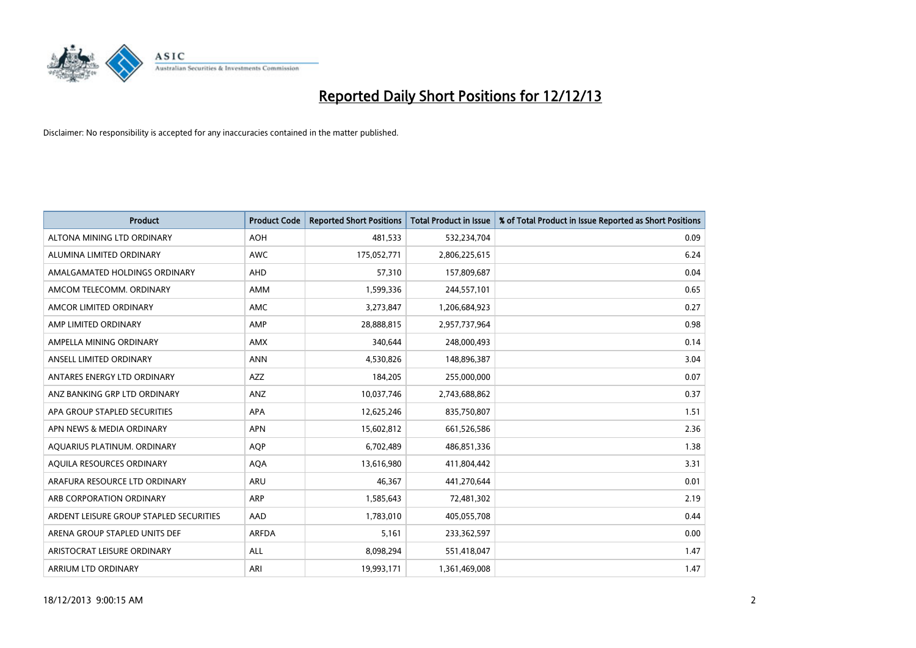

| <b>Product</b>                          | <b>Product Code</b> | <b>Reported Short Positions</b> | <b>Total Product in Issue</b> | % of Total Product in Issue Reported as Short Positions |
|-----------------------------------------|---------------------|---------------------------------|-------------------------------|---------------------------------------------------------|
| ALTONA MINING LTD ORDINARY              | <b>AOH</b>          | 481,533                         | 532,234,704                   | 0.09                                                    |
| ALUMINA LIMITED ORDINARY                | AWC                 | 175,052,771                     | 2,806,225,615                 | 6.24                                                    |
| AMALGAMATED HOLDINGS ORDINARY           | AHD                 | 57,310                          | 157,809,687                   | 0.04                                                    |
| AMCOM TELECOMM, ORDINARY                | AMM                 | 1,599,336                       | 244,557,101                   | 0.65                                                    |
| AMCOR LIMITED ORDINARY                  | AMC                 | 3,273,847                       | 1,206,684,923                 | 0.27                                                    |
| AMP LIMITED ORDINARY                    | AMP                 | 28,888,815                      | 2,957,737,964                 | 0.98                                                    |
| AMPELLA MINING ORDINARY                 | AMX                 | 340,644                         | 248,000,493                   | 0.14                                                    |
| ANSELL LIMITED ORDINARY                 | <b>ANN</b>          | 4,530,826                       | 148,896,387                   | 3.04                                                    |
| ANTARES ENERGY LTD ORDINARY             | <b>AZZ</b>          | 184,205                         | 255,000,000                   | 0.07                                                    |
| ANZ BANKING GRP LTD ORDINARY            | ANZ                 | 10,037,746                      | 2,743,688,862                 | 0.37                                                    |
| APA GROUP STAPLED SECURITIES            | APA                 | 12,625,246                      | 835,750,807                   | 1.51                                                    |
| APN NEWS & MEDIA ORDINARY               | <b>APN</b>          | 15,602,812                      | 661,526,586                   | 2.36                                                    |
| AQUARIUS PLATINUM. ORDINARY             | <b>AOP</b>          | 6,702,489                       | 486,851,336                   | 1.38                                                    |
| AOUILA RESOURCES ORDINARY               | <b>AQA</b>          | 13,616,980                      | 411,804,442                   | 3.31                                                    |
| ARAFURA RESOURCE LTD ORDINARY           | ARU                 | 46,367                          | 441,270,644                   | 0.01                                                    |
| ARB CORPORATION ORDINARY                | ARP                 | 1,585,643                       | 72,481,302                    | 2.19                                                    |
| ARDENT LEISURE GROUP STAPLED SECURITIES | AAD                 | 1,783,010                       | 405,055,708                   | 0.44                                                    |
| ARENA GROUP STAPLED UNITS DEF           | <b>ARFDA</b>        | 5,161                           | 233,362,597                   | 0.00                                                    |
| ARISTOCRAT LEISURE ORDINARY             | <b>ALL</b>          | 8,098,294                       | 551,418,047                   | 1.47                                                    |
| ARRIUM LTD ORDINARY                     | ARI                 | 19,993,171                      | 1,361,469,008                 | 1.47                                                    |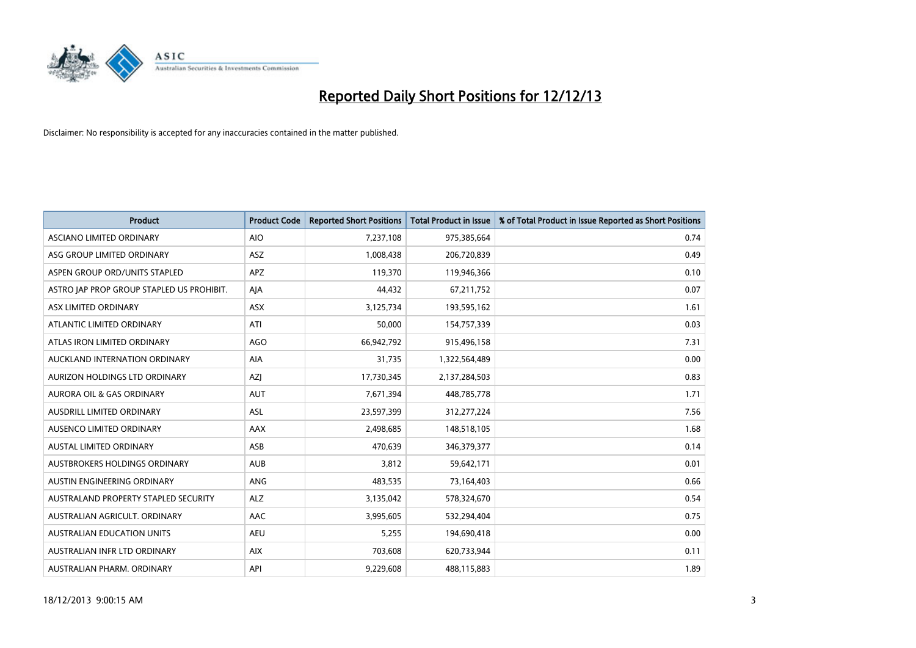

| <b>Product</b>                            | <b>Product Code</b> | <b>Reported Short Positions</b> | <b>Total Product in Issue</b> | % of Total Product in Issue Reported as Short Positions |
|-------------------------------------------|---------------------|---------------------------------|-------------------------------|---------------------------------------------------------|
| ASCIANO LIMITED ORDINARY                  | <b>AIO</b>          | 7,237,108                       | 975,385,664                   | 0.74                                                    |
| ASG GROUP LIMITED ORDINARY                | <b>ASZ</b>          | 1,008,438                       | 206,720,839                   | 0.49                                                    |
| ASPEN GROUP ORD/UNITS STAPLED             | <b>APZ</b>          | 119,370                         | 119,946,366                   | 0.10                                                    |
| ASTRO JAP PROP GROUP STAPLED US PROHIBIT. | AJA                 | 44,432                          | 67,211,752                    | 0.07                                                    |
| ASX LIMITED ORDINARY                      | <b>ASX</b>          | 3,125,734                       | 193,595,162                   | 1.61                                                    |
| ATLANTIC LIMITED ORDINARY                 | ATI                 | 50,000                          | 154,757,339                   | 0.03                                                    |
| ATLAS IRON LIMITED ORDINARY               | <b>AGO</b>          | 66,942,792                      | 915,496,158                   | 7.31                                                    |
| AUCKLAND INTERNATION ORDINARY             | AIA                 | 31,735                          | 1,322,564,489                 | 0.00                                                    |
| AURIZON HOLDINGS LTD ORDINARY             | AZJ                 | 17,730,345                      | 2,137,284,503                 | 0.83                                                    |
| <b>AURORA OIL &amp; GAS ORDINARY</b>      | <b>AUT</b>          | 7,671,394                       | 448,785,778                   | 1.71                                                    |
| AUSDRILL LIMITED ORDINARY                 | <b>ASL</b>          | 23,597,399                      | 312,277,224                   | 7.56                                                    |
| AUSENCO LIMITED ORDINARY                  | AAX                 | 2,498,685                       | 148,518,105                   | 1.68                                                    |
| <b>AUSTAL LIMITED ORDINARY</b>            | ASB                 | 470.639                         | 346, 379, 377                 | 0.14                                                    |
| <b>AUSTBROKERS HOLDINGS ORDINARY</b>      | <b>AUB</b>          | 3,812                           | 59,642,171                    | 0.01                                                    |
| AUSTIN ENGINEERING ORDINARY               | ANG                 | 483,535                         | 73,164,403                    | 0.66                                                    |
| AUSTRALAND PROPERTY STAPLED SECURITY      | <b>ALZ</b>          | 3,135,042                       | 578,324,670                   | 0.54                                                    |
| AUSTRALIAN AGRICULT, ORDINARY             | AAC                 | 3,995,605                       | 532,294,404                   | 0.75                                                    |
| <b>AUSTRALIAN EDUCATION UNITS</b>         | <b>AEU</b>          | 5,255                           | 194,690,418                   | 0.00                                                    |
| AUSTRALIAN INFR LTD ORDINARY              | <b>AIX</b>          | 703,608                         | 620,733,944                   | 0.11                                                    |
| AUSTRALIAN PHARM, ORDINARY                | API                 | 9,229,608                       | 488,115,883                   | 1.89                                                    |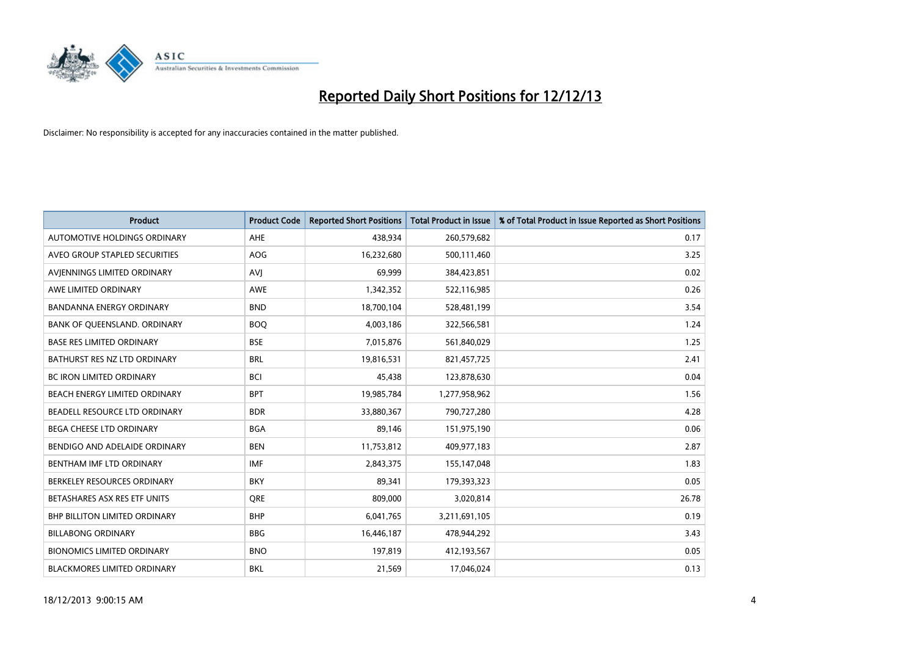

| <b>Product</b>                    | <b>Product Code</b> | <b>Reported Short Positions</b> | <b>Total Product in Issue</b> | % of Total Product in Issue Reported as Short Positions |
|-----------------------------------|---------------------|---------------------------------|-------------------------------|---------------------------------------------------------|
| AUTOMOTIVE HOLDINGS ORDINARY      | AHE                 | 438,934                         | 260,579,682                   | 0.17                                                    |
| AVEO GROUP STAPLED SECURITIES     | AOG                 | 16,232,680                      | 500,111,460                   | 3.25                                                    |
| AVIENNINGS LIMITED ORDINARY       | <b>AVI</b>          | 69,999                          | 384,423,851                   | 0.02                                                    |
| AWE LIMITED ORDINARY              | <b>AWE</b>          | 1,342,352                       | 522,116,985                   | 0.26                                                    |
| <b>BANDANNA ENERGY ORDINARY</b>   | <b>BND</b>          | 18,700,104                      | 528,481,199                   | 3.54                                                    |
| BANK OF QUEENSLAND. ORDINARY      | <b>BOO</b>          | 4,003,186                       | 322,566,581                   | 1.24                                                    |
| <b>BASE RES LIMITED ORDINARY</b>  | <b>BSE</b>          | 7,015,876                       | 561,840,029                   | 1.25                                                    |
| BATHURST RES NZ LTD ORDINARY      | <b>BRL</b>          | 19,816,531                      | 821,457,725                   | 2.41                                                    |
| BC IRON LIMITED ORDINARY          | <b>BCI</b>          | 45,438                          | 123,878,630                   | 0.04                                                    |
| BEACH ENERGY LIMITED ORDINARY     | <b>BPT</b>          | 19,985,784                      | 1,277,958,962                 | 1.56                                                    |
| BEADELL RESOURCE LTD ORDINARY     | <b>BDR</b>          | 33,880,367                      | 790,727,280                   | 4.28                                                    |
| BEGA CHEESE LTD ORDINARY          | <b>BGA</b>          | 89,146                          | 151,975,190                   | 0.06                                                    |
| BENDIGO AND ADELAIDE ORDINARY     | <b>BEN</b>          | 11,753,812                      | 409,977,183                   | 2.87                                                    |
| BENTHAM IMF LTD ORDINARY          | <b>IMF</b>          | 2,843,375                       | 155,147,048                   | 1.83                                                    |
| BERKELEY RESOURCES ORDINARY       | <b>BKY</b>          | 89,341                          | 179,393,323                   | 0.05                                                    |
| BETASHARES ASX RES ETF UNITS      | <b>ORE</b>          | 809,000                         | 3,020,814                     | 26.78                                                   |
| BHP BILLITON LIMITED ORDINARY     | <b>BHP</b>          | 6,041,765                       | 3,211,691,105                 | 0.19                                                    |
| <b>BILLABONG ORDINARY</b>         | <b>BBG</b>          | 16,446,187                      | 478,944,292                   | 3.43                                                    |
| <b>BIONOMICS LIMITED ORDINARY</b> | <b>BNO</b>          | 197,819                         | 412,193,567                   | 0.05                                                    |
| BLACKMORES LIMITED ORDINARY       | <b>BKL</b>          | 21,569                          | 17,046,024                    | 0.13                                                    |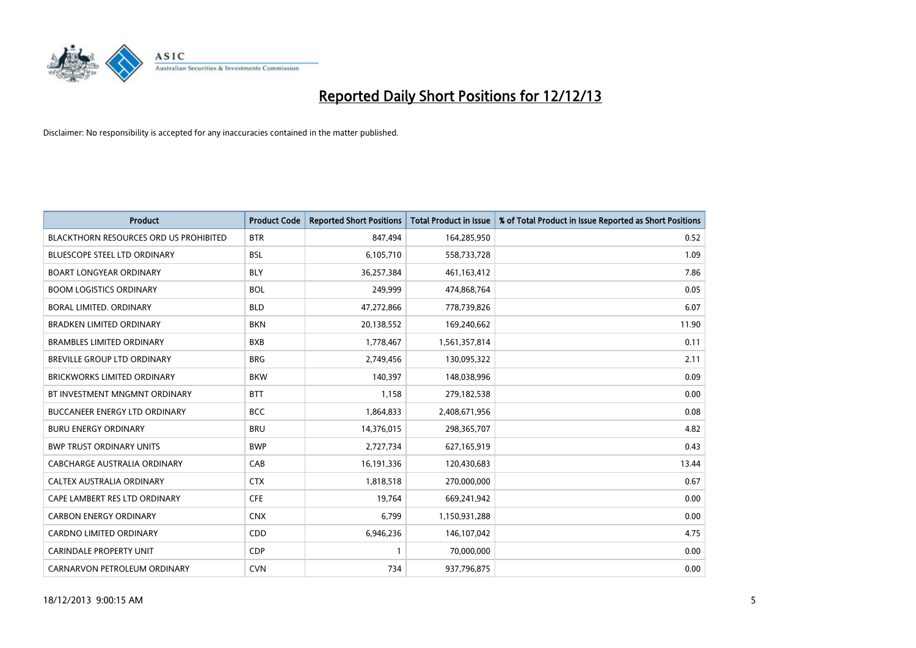

| <b>Product</b>                                | <b>Product Code</b> | <b>Reported Short Positions</b> | <b>Total Product in Issue</b> | % of Total Product in Issue Reported as Short Positions |
|-----------------------------------------------|---------------------|---------------------------------|-------------------------------|---------------------------------------------------------|
| <b>BLACKTHORN RESOURCES ORD US PROHIBITED</b> | <b>BTR</b>          | 847,494                         | 164,285,950                   | 0.52                                                    |
| <b>BLUESCOPE STEEL LTD ORDINARY</b>           | <b>BSL</b>          | 6,105,710                       | 558,733,728                   | 1.09                                                    |
| <b>BOART LONGYEAR ORDINARY</b>                | <b>BLY</b>          | 36,257,384                      | 461,163,412                   | 7.86                                                    |
| <b>BOOM LOGISTICS ORDINARY</b>                | <b>BOL</b>          | 249,999                         | 474,868,764                   | 0.05                                                    |
| <b>BORAL LIMITED, ORDINARY</b>                | <b>BLD</b>          | 47,272,866                      | 778,739,826                   | 6.07                                                    |
| <b>BRADKEN LIMITED ORDINARY</b>               | <b>BKN</b>          | 20,138,552                      | 169,240,662                   | 11.90                                                   |
| <b>BRAMBLES LIMITED ORDINARY</b>              | <b>BXB</b>          | 1,778,467                       | 1,561,357,814                 | 0.11                                                    |
| BREVILLE GROUP LTD ORDINARY                   | <b>BRG</b>          | 2,749,456                       | 130,095,322                   | 2.11                                                    |
| <b>BRICKWORKS LIMITED ORDINARY</b>            | <b>BKW</b>          | 140.397                         | 148,038,996                   | 0.09                                                    |
| BT INVESTMENT MNGMNT ORDINARY                 | <b>BTT</b>          | 1,158                           | 279,182,538                   | 0.00                                                    |
| BUCCANEER ENERGY LTD ORDINARY                 | <b>BCC</b>          | 1,864,833                       | 2,408,671,956                 | 0.08                                                    |
| <b>BURU ENERGY ORDINARY</b>                   | <b>BRU</b>          | 14,376,015                      | 298,365,707                   | 4.82                                                    |
| <b>BWP TRUST ORDINARY UNITS</b>               | <b>BWP</b>          | 2,727,734                       | 627,165,919                   | 0.43                                                    |
| <b>CABCHARGE AUSTRALIA ORDINARY</b>           | CAB                 | 16,191,336                      | 120,430,683                   | 13.44                                                   |
| CALTEX AUSTRALIA ORDINARY                     | <b>CTX</b>          | 1,818,518                       | 270,000,000                   | 0.67                                                    |
| CAPE LAMBERT RES LTD ORDINARY                 | <b>CFE</b>          | 19,764                          | 669,241,942                   | 0.00                                                    |
| <b>CARBON ENERGY ORDINARY</b>                 | <b>CNX</b>          | 6,799                           | 1,150,931,288                 | 0.00                                                    |
| CARDNO LIMITED ORDINARY                       | CDD                 | 6,946,236                       | 146, 107, 042                 | 4.75                                                    |
| <b>CARINDALE PROPERTY UNIT</b>                | <b>CDP</b>          | $\mathbf{1}$                    | 70,000,000                    | 0.00                                                    |
| CARNARVON PETROLEUM ORDINARY                  | <b>CVN</b>          | 734                             | 937,796,875                   | 0.00                                                    |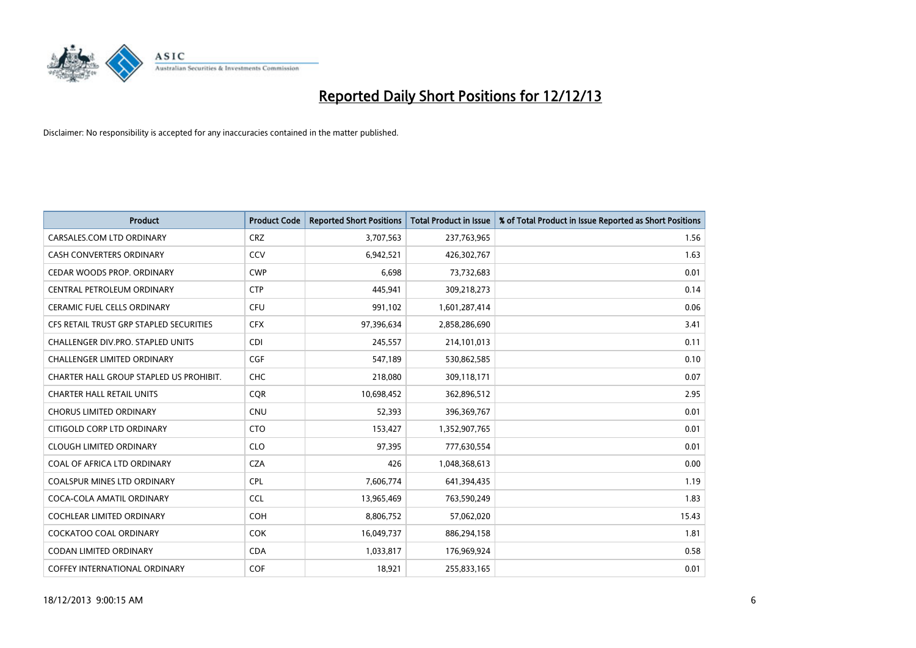

| <b>Product</b>                          | <b>Product Code</b> | <b>Reported Short Positions</b> | <b>Total Product in Issue</b> | % of Total Product in Issue Reported as Short Positions |
|-----------------------------------------|---------------------|---------------------------------|-------------------------------|---------------------------------------------------------|
| CARSALES.COM LTD ORDINARY               | <b>CRZ</b>          | 3,707,563                       | 237,763,965                   | 1.56                                                    |
| CASH CONVERTERS ORDINARY                | CCV                 | 6,942,521                       | 426,302,767                   | 1.63                                                    |
| CEDAR WOODS PROP. ORDINARY              | <b>CWP</b>          | 6,698                           | 73,732,683                    | 0.01                                                    |
| CENTRAL PETROLEUM ORDINARY              | <b>CTP</b>          | 445,941                         | 309,218,273                   | 0.14                                                    |
| <b>CERAMIC FUEL CELLS ORDINARY</b>      | <b>CFU</b>          | 991,102                         | 1,601,287,414                 | 0.06                                                    |
| CFS RETAIL TRUST GRP STAPLED SECURITIES | <b>CFX</b>          | 97,396,634                      | 2,858,286,690                 | 3.41                                                    |
| CHALLENGER DIV.PRO. STAPLED UNITS       | <b>CDI</b>          | 245,557                         | 214,101,013                   | 0.11                                                    |
| CHALLENGER LIMITED ORDINARY             | <b>CGF</b>          | 547,189                         | 530,862,585                   | 0.10                                                    |
| CHARTER HALL GROUP STAPLED US PROHIBIT. | <b>CHC</b>          | 218,080                         | 309,118,171                   | 0.07                                                    |
| <b>CHARTER HALL RETAIL UNITS</b>        | <b>CQR</b>          | 10,698,452                      | 362,896,512                   | 2.95                                                    |
| <b>CHORUS LIMITED ORDINARY</b>          | <b>CNU</b>          | 52,393                          | 396,369,767                   | 0.01                                                    |
| CITIGOLD CORP LTD ORDINARY              | <b>CTO</b>          | 153,427                         | 1,352,907,765                 | 0.01                                                    |
| <b>CLOUGH LIMITED ORDINARY</b>          | <b>CLO</b>          | 97,395                          | 777,630,554                   | 0.01                                                    |
| COAL OF AFRICA LTD ORDINARY             | <b>CZA</b>          | 426                             | 1,048,368,613                 | 0.00                                                    |
| <b>COALSPUR MINES LTD ORDINARY</b>      | <b>CPL</b>          | 7,606,774                       | 641,394,435                   | 1.19                                                    |
| COCA-COLA AMATIL ORDINARY               | <b>CCL</b>          | 13,965,469                      | 763,590,249                   | 1.83                                                    |
| COCHLEAR LIMITED ORDINARY               | <b>COH</b>          | 8,806,752                       | 57,062,020                    | 15.43                                                   |
| <b>COCKATOO COAL ORDINARY</b>           | <b>COK</b>          | 16,049,737                      | 886,294,158                   | 1.81                                                    |
| <b>CODAN LIMITED ORDINARY</b>           | <b>CDA</b>          | 1,033,817                       | 176,969,924                   | 0.58                                                    |
| COFFEY INTERNATIONAL ORDINARY           | <b>COF</b>          | 18,921                          | 255,833,165                   | 0.01                                                    |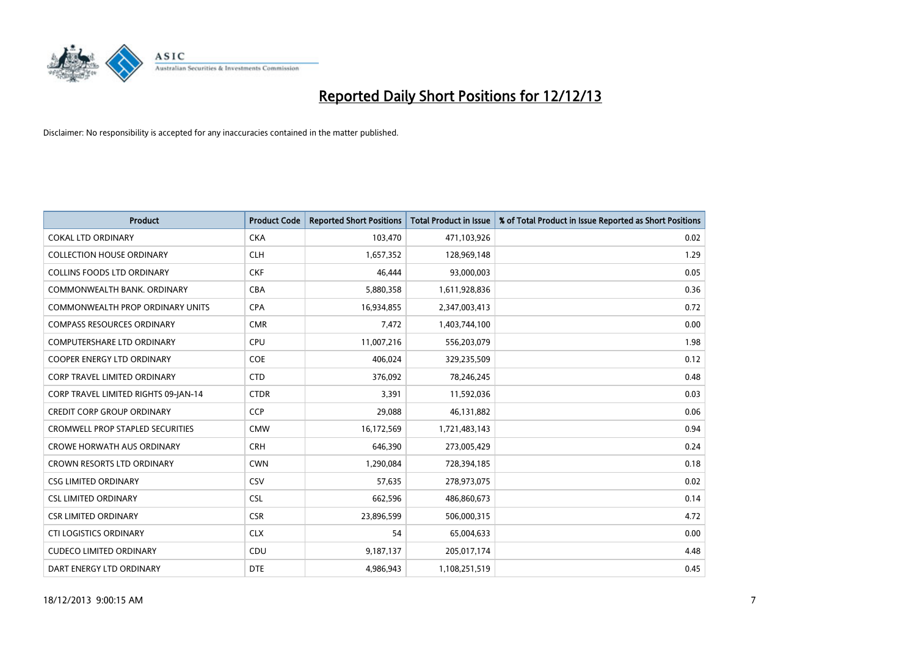

| <b>Product</b>                          | <b>Product Code</b> | <b>Reported Short Positions</b> | <b>Total Product in Issue</b> | % of Total Product in Issue Reported as Short Positions |
|-----------------------------------------|---------------------|---------------------------------|-------------------------------|---------------------------------------------------------|
| <b>COKAL LTD ORDINARY</b>               | <b>CKA</b>          | 103,470                         | 471,103,926                   | 0.02                                                    |
| <b>COLLECTION HOUSE ORDINARY</b>        | <b>CLH</b>          | 1,657,352                       | 128,969,148                   | 1.29                                                    |
| <b>COLLINS FOODS LTD ORDINARY</b>       | <b>CKF</b>          | 46.444                          | 93,000,003                    | 0.05                                                    |
| COMMONWEALTH BANK. ORDINARY             | <b>CBA</b>          | 5,880,358                       | 1,611,928,836                 | 0.36                                                    |
| COMMONWEALTH PROP ORDINARY UNITS        | <b>CPA</b>          | 16,934,855                      | 2,347,003,413                 | 0.72                                                    |
| <b>COMPASS RESOURCES ORDINARY</b>       | <b>CMR</b>          | 7,472                           | 1,403,744,100                 | 0.00                                                    |
| <b>COMPUTERSHARE LTD ORDINARY</b>       | <b>CPU</b>          | 11,007,216                      | 556,203,079                   | 1.98                                                    |
| COOPER ENERGY LTD ORDINARY              | <b>COE</b>          | 406,024                         | 329,235,509                   | 0.12                                                    |
| <b>CORP TRAVEL LIMITED ORDINARY</b>     | <b>CTD</b>          | 376,092                         | 78,246,245                    | 0.48                                                    |
| CORP TRAVEL LIMITED RIGHTS 09-JAN-14    | <b>CTDR</b>         | 3,391                           | 11,592,036                    | 0.03                                                    |
| <b>CREDIT CORP GROUP ORDINARY</b>       | <b>CCP</b>          | 29,088                          | 46,131,882                    | 0.06                                                    |
| <b>CROMWELL PROP STAPLED SECURITIES</b> | <b>CMW</b>          | 16,172,569                      | 1,721,483,143                 | 0.94                                                    |
| <b>CROWE HORWATH AUS ORDINARY</b>       | <b>CRH</b>          | 646,390                         | 273,005,429                   | 0.24                                                    |
| <b>CROWN RESORTS LTD ORDINARY</b>       | <b>CWN</b>          | 1,290,084                       | 728,394,185                   | 0.18                                                    |
| <b>CSG LIMITED ORDINARY</b>             | CSV                 | 57,635                          | 278,973,075                   | 0.02                                                    |
| <b>CSL LIMITED ORDINARY</b>             | <b>CSL</b>          | 662,596                         | 486,860,673                   | 0.14                                                    |
| <b>CSR LIMITED ORDINARY</b>             | <b>CSR</b>          | 23,896,599                      | 506,000,315                   | 4.72                                                    |
| <b>CTI LOGISTICS ORDINARY</b>           | <b>CLX</b>          | 54                              | 65,004,633                    | 0.00                                                    |
| <b>CUDECO LIMITED ORDINARY</b>          | CDU                 | 9,187,137                       | 205,017,174                   | 4.48                                                    |
| DART ENERGY LTD ORDINARY                | <b>DTE</b>          | 4,986,943                       | 1,108,251,519                 | 0.45                                                    |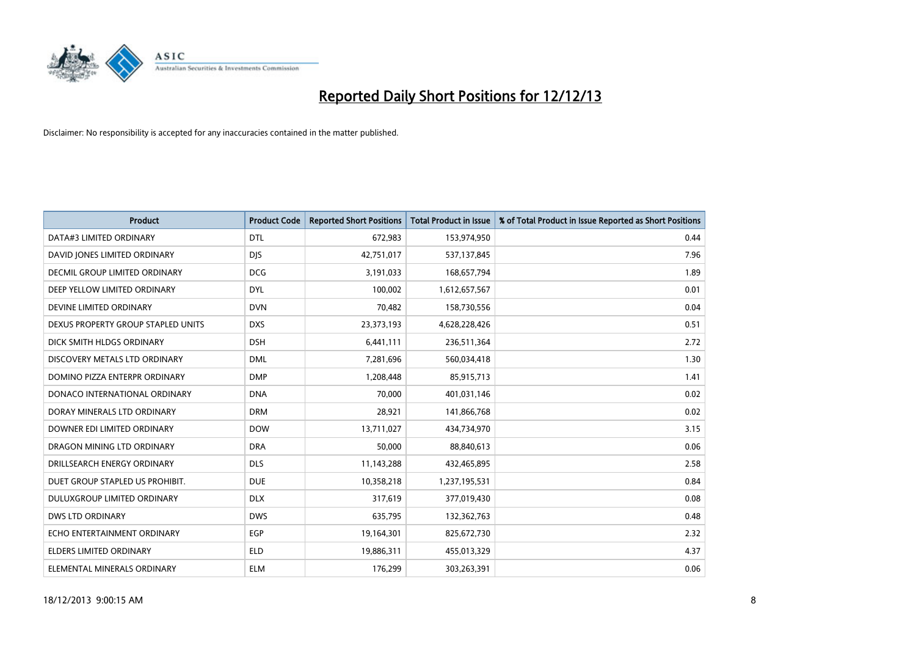

| <b>Product</b>                     | <b>Product Code</b> | <b>Reported Short Positions</b> | <b>Total Product in Issue</b> | % of Total Product in Issue Reported as Short Positions |
|------------------------------------|---------------------|---------------------------------|-------------------------------|---------------------------------------------------------|
| DATA#3 LIMITED ORDINARY            | <b>DTL</b>          | 672,983                         | 153,974,950                   | 0.44                                                    |
| DAVID JONES LIMITED ORDINARY       | <b>DIS</b>          | 42,751,017                      | 537,137,845                   | 7.96                                                    |
| DECMIL GROUP LIMITED ORDINARY      | <b>DCG</b>          | 3,191,033                       | 168,657,794                   | 1.89                                                    |
| DEEP YELLOW LIMITED ORDINARY       | <b>DYL</b>          | 100,002                         | 1,612,657,567                 | 0.01                                                    |
| DEVINE LIMITED ORDINARY            | <b>DVN</b>          | 70,482                          | 158,730,556                   | 0.04                                                    |
| DEXUS PROPERTY GROUP STAPLED UNITS | <b>DXS</b>          | 23,373,193                      | 4,628,228,426                 | 0.51                                                    |
| DICK SMITH HLDGS ORDINARY          | <b>DSH</b>          | 6,441,111                       | 236,511,364                   | 2.72                                                    |
| DISCOVERY METALS LTD ORDINARY      | <b>DML</b>          | 7,281,696                       | 560,034,418                   | 1.30                                                    |
| DOMINO PIZZA ENTERPR ORDINARY      | <b>DMP</b>          | 1,208,448                       | 85,915,713                    | 1.41                                                    |
| DONACO INTERNATIONAL ORDINARY      | <b>DNA</b>          | 70,000                          | 401,031,146                   | 0.02                                                    |
| DORAY MINERALS LTD ORDINARY        | <b>DRM</b>          | 28,921                          | 141,866,768                   | 0.02                                                    |
| DOWNER EDI LIMITED ORDINARY        | <b>DOW</b>          | 13,711,027                      | 434,734,970                   | 3.15                                                    |
| DRAGON MINING LTD ORDINARY         | <b>DRA</b>          | 50,000                          | 88,840,613                    | 0.06                                                    |
| DRILLSEARCH ENERGY ORDINARY        | <b>DLS</b>          | 11,143,288                      | 432,465,895                   | 2.58                                                    |
| DUET GROUP STAPLED US PROHIBIT.    | <b>DUE</b>          | 10,358,218                      | 1,237,195,531                 | 0.84                                                    |
| DULUXGROUP LIMITED ORDINARY        | <b>DLX</b>          | 317,619                         | 377,019,430                   | 0.08                                                    |
| <b>DWS LTD ORDINARY</b>            | <b>DWS</b>          | 635,795                         | 132,362,763                   | 0.48                                                    |
| ECHO ENTERTAINMENT ORDINARY        | <b>EGP</b>          | 19,164,301                      | 825,672,730                   | 2.32                                                    |
| <b>ELDERS LIMITED ORDINARY</b>     | <b>ELD</b>          | 19,886,311                      | 455,013,329                   | 4.37                                                    |
| ELEMENTAL MINERALS ORDINARY        | <b>ELM</b>          | 176,299                         | 303,263,391                   | 0.06                                                    |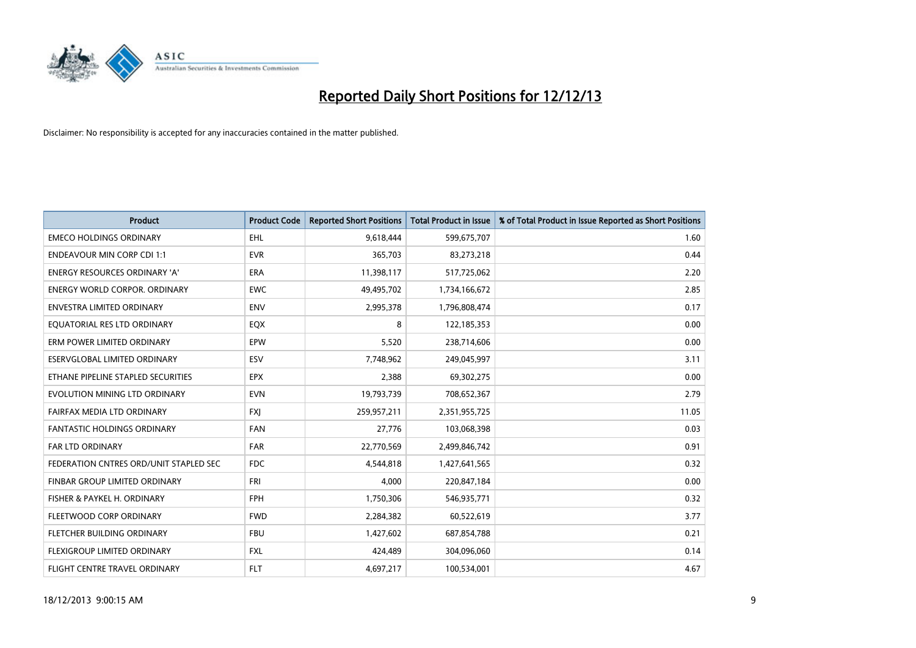

| <b>Product</b>                         | <b>Product Code</b> | <b>Reported Short Positions</b> | <b>Total Product in Issue</b> | % of Total Product in Issue Reported as Short Positions |
|----------------------------------------|---------------------|---------------------------------|-------------------------------|---------------------------------------------------------|
| <b>EMECO HOLDINGS ORDINARY</b>         | <b>EHL</b>          | 9,618,444                       | 599,675,707                   | 1.60                                                    |
| <b>ENDEAVOUR MIN CORP CDI 1:1</b>      | <b>EVR</b>          | 365,703                         | 83,273,218                    | 0.44                                                    |
| ENERGY RESOURCES ORDINARY 'A'          | ERA                 | 11,398,117                      | 517,725,062                   | 2.20                                                    |
| <b>ENERGY WORLD CORPOR. ORDINARY</b>   | <b>EWC</b>          | 49,495,702                      | 1,734,166,672                 | 2.85                                                    |
| <b>ENVESTRA LIMITED ORDINARY</b>       | <b>ENV</b>          | 2,995,378                       | 1,796,808,474                 | 0.17                                                    |
| EQUATORIAL RES LTD ORDINARY            | EQX                 | 8                               | 122,185,353                   | 0.00                                                    |
| ERM POWER LIMITED ORDINARY             | EPW                 | 5,520                           | 238,714,606                   | 0.00                                                    |
| ESERVGLOBAL LIMITED ORDINARY           | ESV                 | 7,748,962                       | 249,045,997                   | 3.11                                                    |
| ETHANE PIPELINE STAPLED SECURITIES     | <b>EPX</b>          | 2,388                           | 69,302,275                    | 0.00                                                    |
| EVOLUTION MINING LTD ORDINARY          | <b>EVN</b>          | 19,793,739                      | 708,652,367                   | 2.79                                                    |
| FAIRFAX MEDIA LTD ORDINARY             | <b>FXI</b>          | 259,957,211                     | 2,351,955,725                 | 11.05                                                   |
| <b>FANTASTIC HOLDINGS ORDINARY</b>     | <b>FAN</b>          | 27,776                          | 103,068,398                   | 0.03                                                    |
| <b>FAR LTD ORDINARY</b>                | <b>FAR</b>          | 22,770,569                      | 2,499,846,742                 | 0.91                                                    |
| FEDERATION CNTRES ORD/UNIT STAPLED SEC | FDC                 | 4,544,818                       | 1,427,641,565                 | 0.32                                                    |
| FINBAR GROUP LIMITED ORDINARY          | <b>FRI</b>          | 4.000                           | 220,847,184                   | 0.00                                                    |
| FISHER & PAYKEL H. ORDINARY            | <b>FPH</b>          | 1,750,306                       | 546,935,771                   | 0.32                                                    |
| FLEETWOOD CORP ORDINARY                | <b>FWD</b>          | 2,284,382                       | 60,522,619                    | 3.77                                                    |
| FLETCHER BUILDING ORDINARY             | <b>FBU</b>          | 1,427,602                       | 687,854,788                   | 0.21                                                    |
| FLEXIGROUP LIMITED ORDINARY            | <b>FXL</b>          | 424,489                         | 304,096,060                   | 0.14                                                    |
| FLIGHT CENTRE TRAVEL ORDINARY          | <b>FLT</b>          | 4,697,217                       | 100,534,001                   | 4.67                                                    |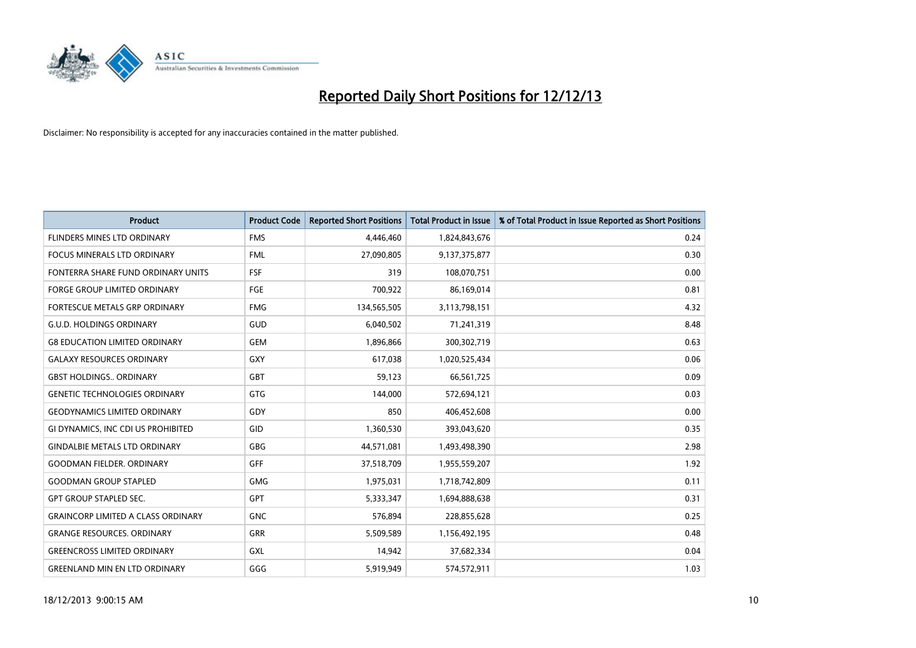

| <b>Product</b>                            | <b>Product Code</b> | <b>Reported Short Positions</b> | <b>Total Product in Issue</b> | % of Total Product in Issue Reported as Short Positions |
|-------------------------------------------|---------------------|---------------------------------|-------------------------------|---------------------------------------------------------|
| FLINDERS MINES LTD ORDINARY               | <b>FMS</b>          | 4,446,460                       | 1,824,843,676                 | 0.24                                                    |
| <b>FOCUS MINERALS LTD ORDINARY</b>        | <b>FML</b>          | 27,090,805                      | 9,137,375,877                 | 0.30                                                    |
| FONTERRA SHARE FUND ORDINARY UNITS        | <b>FSF</b>          | 319                             | 108,070,751                   | 0.00                                                    |
| <b>FORGE GROUP LIMITED ORDINARY</b>       | FGE                 | 700,922                         | 86,169,014                    | 0.81                                                    |
| <b>FORTESCUE METALS GRP ORDINARY</b>      | <b>FMG</b>          | 134,565,505                     | 3,113,798,151                 | 4.32                                                    |
| <b>G.U.D. HOLDINGS ORDINARY</b>           | GUD                 | 6,040,502                       | 71,241,319                    | 8.48                                                    |
| <b>G8 EDUCATION LIMITED ORDINARY</b>      | <b>GEM</b>          | 1,896,866                       | 300,302,719                   | 0.63                                                    |
| <b>GALAXY RESOURCES ORDINARY</b>          | GXY                 | 617,038                         | 1,020,525,434                 | 0.06                                                    |
| <b>GBST HOLDINGS., ORDINARY</b>           | <b>GBT</b>          | 59,123                          | 66,561,725                    | 0.09                                                    |
| <b>GENETIC TECHNOLOGIES ORDINARY</b>      | <b>GTG</b>          | 144,000                         | 572,694,121                   | 0.03                                                    |
| <b>GEODYNAMICS LIMITED ORDINARY</b>       | GDY                 | 850                             | 406,452,608                   | 0.00                                                    |
| GI DYNAMICS, INC CDI US PROHIBITED        | GID                 | 1,360,530                       | 393,043,620                   | 0.35                                                    |
| <b>GINDALBIE METALS LTD ORDINARY</b>      | GBG                 | 44,571,081                      | 1,493,498,390                 | 2.98                                                    |
| <b>GOODMAN FIELDER, ORDINARY</b>          | <b>GFF</b>          | 37,518,709                      | 1,955,559,207                 | 1.92                                                    |
| <b>GOODMAN GROUP STAPLED</b>              | <b>GMG</b>          | 1,975,031                       | 1,718,742,809                 | 0.11                                                    |
| <b>GPT GROUP STAPLED SEC.</b>             | GPT                 | 5,333,347                       | 1,694,888,638                 | 0.31                                                    |
| <b>GRAINCORP LIMITED A CLASS ORDINARY</b> | <b>GNC</b>          | 576,894                         | 228,855,628                   | 0.25                                                    |
| <b>GRANGE RESOURCES, ORDINARY</b>         | GRR                 | 5,509,589                       | 1,156,492,195                 | 0.48                                                    |
| <b>GREENCROSS LIMITED ORDINARY</b>        | <b>GXL</b>          | 14,942                          | 37,682,334                    | 0.04                                                    |
| <b>GREENLAND MIN EN LTD ORDINARY</b>      | GGG                 | 5,919,949                       | 574,572,911                   | 1.03                                                    |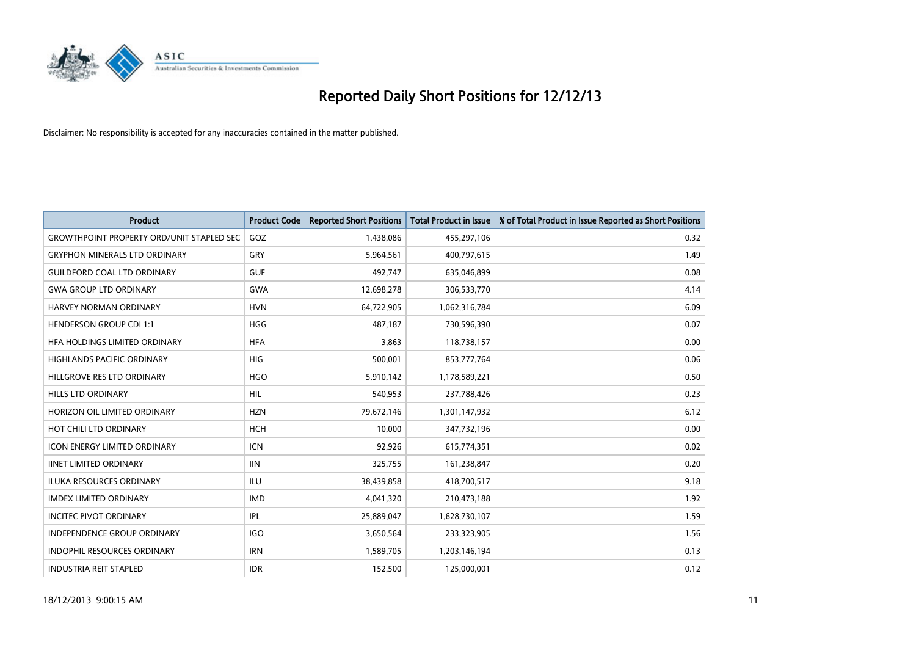

| <b>Product</b>                                   | <b>Product Code</b> | <b>Reported Short Positions</b> | <b>Total Product in Issue</b> | % of Total Product in Issue Reported as Short Positions |
|--------------------------------------------------|---------------------|---------------------------------|-------------------------------|---------------------------------------------------------|
| <b>GROWTHPOINT PROPERTY ORD/UNIT STAPLED SEC</b> | GOZ                 | 1,438,086                       | 455,297,106                   | 0.32                                                    |
| <b>GRYPHON MINERALS LTD ORDINARY</b>             | GRY                 | 5,964,561                       | 400,797,615                   | 1.49                                                    |
| <b>GUILDFORD COAL LTD ORDINARY</b>               | <b>GUF</b>          | 492,747                         | 635,046,899                   | 0.08                                                    |
| <b>GWA GROUP LTD ORDINARY</b>                    | <b>GWA</b>          | 12,698,278                      | 306,533,770                   | 4.14                                                    |
| HARVEY NORMAN ORDINARY                           | <b>HVN</b>          | 64,722,905                      | 1,062,316,784                 | 6.09                                                    |
| <b>HENDERSON GROUP CDI 1:1</b>                   | <b>HGG</b>          | 487,187                         | 730,596,390                   | 0.07                                                    |
| <b>HFA HOLDINGS LIMITED ORDINARY</b>             | <b>HFA</b>          | 3,863                           | 118,738,157                   | 0.00                                                    |
| <b>HIGHLANDS PACIFIC ORDINARY</b>                | <b>HIG</b>          | 500,001                         | 853,777,764                   | 0.06                                                    |
| HILLGROVE RES LTD ORDINARY                       | <b>HGO</b>          | 5,910,142                       | 1,178,589,221                 | 0.50                                                    |
| HILLS LTD ORDINARY                               | <b>HIL</b>          | 540,953                         | 237,788,426                   | 0.23                                                    |
| HORIZON OIL LIMITED ORDINARY                     | <b>HZN</b>          | 79,672,146                      | 1,301,147,932                 | 6.12                                                    |
| HOT CHILI LTD ORDINARY                           | <b>HCH</b>          | 10,000                          | 347,732,196                   | 0.00                                                    |
| <b>ICON ENERGY LIMITED ORDINARY</b>              | <b>ICN</b>          | 92,926                          | 615,774,351                   | 0.02                                                    |
| <b>IINET LIMITED ORDINARY</b>                    | <b>IIN</b>          | 325,755                         | 161,238,847                   | 0.20                                                    |
| ILUKA RESOURCES ORDINARY                         | ILU                 | 38,439,858                      | 418,700,517                   | 9.18                                                    |
| <b>IMDEX LIMITED ORDINARY</b>                    | <b>IMD</b>          | 4,041,320                       | 210,473,188                   | 1.92                                                    |
| <b>INCITEC PIVOT ORDINARY</b>                    | <b>IPL</b>          | 25,889,047                      | 1,628,730,107                 | 1.59                                                    |
| <b>INDEPENDENCE GROUP ORDINARY</b>               | <b>IGO</b>          | 3,650,564                       | 233,323,905                   | 1.56                                                    |
| <b>INDOPHIL RESOURCES ORDINARY</b>               | <b>IRN</b>          | 1,589,705                       | 1,203,146,194                 | 0.13                                                    |
| <b>INDUSTRIA REIT STAPLED</b>                    | <b>IDR</b>          | 152,500                         | 125,000,001                   | 0.12                                                    |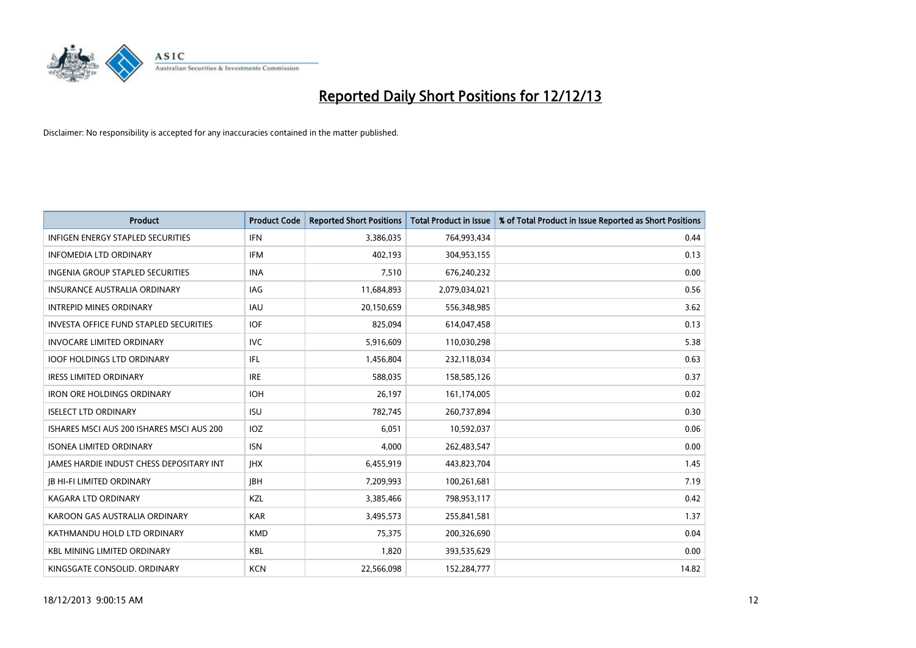

| <b>Product</b>                                  | <b>Product Code</b> | <b>Reported Short Positions</b> | <b>Total Product in Issue</b> | % of Total Product in Issue Reported as Short Positions |
|-------------------------------------------------|---------------------|---------------------------------|-------------------------------|---------------------------------------------------------|
| <b>INFIGEN ENERGY STAPLED SECURITIES</b>        | <b>IFN</b>          | 3,386,035                       | 764,993,434                   | 0.44                                                    |
| <b>INFOMEDIA LTD ORDINARY</b>                   | IFM                 | 402,193                         | 304,953,155                   | 0.13                                                    |
| <b>INGENIA GROUP STAPLED SECURITIES</b>         | <b>INA</b>          | 7,510                           | 676,240,232                   | 0.00                                                    |
| <b>INSURANCE AUSTRALIA ORDINARY</b>             | IAG                 | 11,684,893                      | 2,079,034,021                 | 0.56                                                    |
| <b>INTREPID MINES ORDINARY</b>                  | IAU                 | 20,150,659                      | 556,348,985                   | 3.62                                                    |
| <b>INVESTA OFFICE FUND STAPLED SECURITIES</b>   | <b>IOF</b>          | 825,094                         | 614,047,458                   | 0.13                                                    |
| <b>INVOCARE LIMITED ORDINARY</b>                | IVC                 | 5,916,609                       | 110,030,298                   | 5.38                                                    |
| <b>IOOF HOLDINGS LTD ORDINARY</b>               | IFL                 | 1,456,804                       | 232,118,034                   | 0.63                                                    |
| <b>IRESS LIMITED ORDINARY</b>                   | <b>IRE</b>          | 588,035                         | 158,585,126                   | 0.37                                                    |
| <b>IRON ORE HOLDINGS ORDINARY</b>               | <b>IOH</b>          | 26,197                          | 161,174,005                   | 0.02                                                    |
| <b>ISELECT LTD ORDINARY</b>                     | <b>ISU</b>          | 782,745                         | 260,737,894                   | 0.30                                                    |
| ISHARES MSCI AUS 200 ISHARES MSCI AUS 200       | IOZ                 | 6,051                           | 10,592,037                    | 0.06                                                    |
| <b>ISONEA LIMITED ORDINARY</b>                  | <b>ISN</b>          | 4,000                           | 262,483,547                   | 0.00                                                    |
| <b>IAMES HARDIE INDUST CHESS DEPOSITARY INT</b> | <b>IHX</b>          | 6,455,919                       | 443,823,704                   | 1.45                                                    |
| <b>JB HI-FI LIMITED ORDINARY</b>                | <b>IBH</b>          | 7,209,993                       | 100,261,681                   | 7.19                                                    |
| <b>KAGARA LTD ORDINARY</b>                      | KZL                 | 3,385,466                       | 798,953,117                   | 0.42                                                    |
| KAROON GAS AUSTRALIA ORDINARY                   | <b>KAR</b>          | 3,495,573                       | 255,841,581                   | 1.37                                                    |
| KATHMANDU HOLD LTD ORDINARY                     | <b>KMD</b>          | 75.375                          | 200,326,690                   | 0.04                                                    |
| <b>KBL MINING LIMITED ORDINARY</b>              | KBL                 | 1,820                           | 393,535,629                   | 0.00                                                    |
| KINGSGATE CONSOLID. ORDINARY                    | <b>KCN</b>          | 22,566,098                      | 152,284,777                   | 14.82                                                   |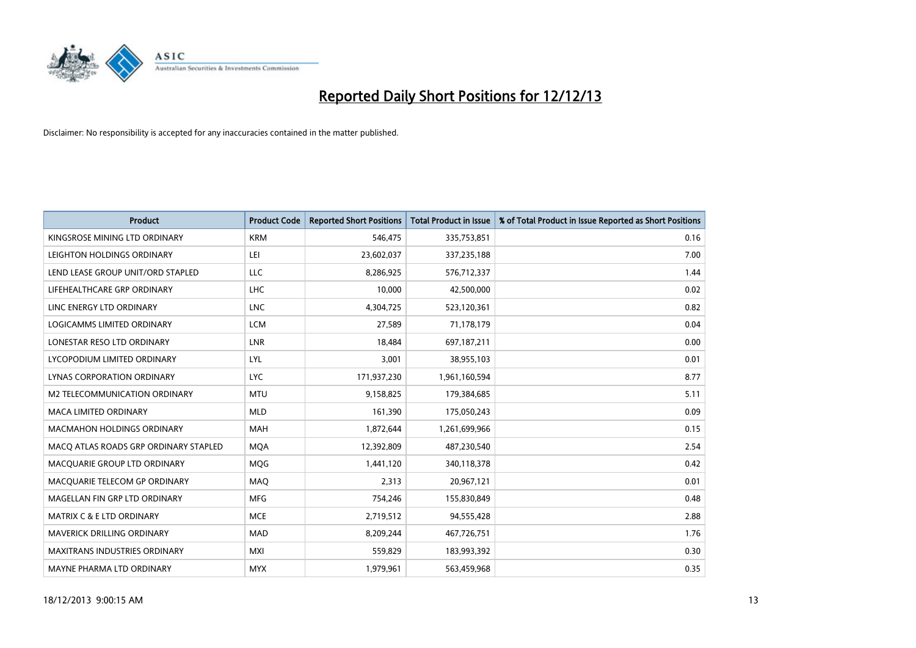

| <b>Product</b>                        | <b>Product Code</b> | <b>Reported Short Positions</b> | <b>Total Product in Issue</b> | % of Total Product in Issue Reported as Short Positions |
|---------------------------------------|---------------------|---------------------------------|-------------------------------|---------------------------------------------------------|
| KINGSROSE MINING LTD ORDINARY         | <b>KRM</b>          | 546,475                         | 335,753,851                   | 0.16                                                    |
| LEIGHTON HOLDINGS ORDINARY            | LEI                 | 23,602,037                      | 337,235,188                   | 7.00                                                    |
| LEND LEASE GROUP UNIT/ORD STAPLED     | LLC                 | 8,286,925                       | 576,712,337                   | 1.44                                                    |
| LIFEHEALTHCARE GRP ORDINARY           | LHC                 | 10,000                          | 42,500,000                    | 0.02                                                    |
| LINC ENERGY LTD ORDINARY              | <b>LNC</b>          | 4,304,725                       | 523,120,361                   | 0.82                                                    |
| LOGICAMMS LIMITED ORDINARY            | <b>LCM</b>          | 27,589                          | 71,178,179                    | 0.04                                                    |
| LONESTAR RESO LTD ORDINARY            | LNR                 | 18,484                          | 697,187,211                   | 0.00                                                    |
| LYCOPODIUM LIMITED ORDINARY           | LYL                 | 3,001                           | 38,955,103                    | 0.01                                                    |
| <b>LYNAS CORPORATION ORDINARY</b>     | <b>LYC</b>          | 171,937,230                     | 1,961,160,594                 | 8.77                                                    |
| <b>M2 TELECOMMUNICATION ORDINARY</b>  | <b>MTU</b>          | 9,158,825                       | 179,384,685                   | 5.11                                                    |
| MACA LIMITED ORDINARY                 | <b>MLD</b>          | 161,390                         | 175,050,243                   | 0.09                                                    |
| <b>MACMAHON HOLDINGS ORDINARY</b>     | MAH                 | 1,872,644                       | 1,261,699,966                 | 0.15                                                    |
| MACO ATLAS ROADS GRP ORDINARY STAPLED | <b>MOA</b>          | 12,392,809                      | 487,230,540                   | 2.54                                                    |
| MACQUARIE GROUP LTD ORDINARY          | <b>MOG</b>          | 1,441,120                       | 340,118,378                   | 0.42                                                    |
| MACQUARIE TELECOM GP ORDINARY         | MAQ                 | 2,313                           | 20,967,121                    | 0.01                                                    |
| MAGELLAN FIN GRP LTD ORDINARY         | <b>MFG</b>          | 754,246                         | 155,830,849                   | 0.48                                                    |
| MATRIX C & E LTD ORDINARY             | <b>MCE</b>          | 2,719,512                       | 94,555,428                    | 2.88                                                    |
| <b>MAVERICK DRILLING ORDINARY</b>     | <b>MAD</b>          | 8,209,244                       | 467,726,751                   | 1.76                                                    |
| <b>MAXITRANS INDUSTRIES ORDINARY</b>  | <b>MXI</b>          | 559,829                         | 183,993,392                   | 0.30                                                    |
| MAYNE PHARMA LTD ORDINARY             | <b>MYX</b>          | 1,979,961                       | 563,459,968                   | 0.35                                                    |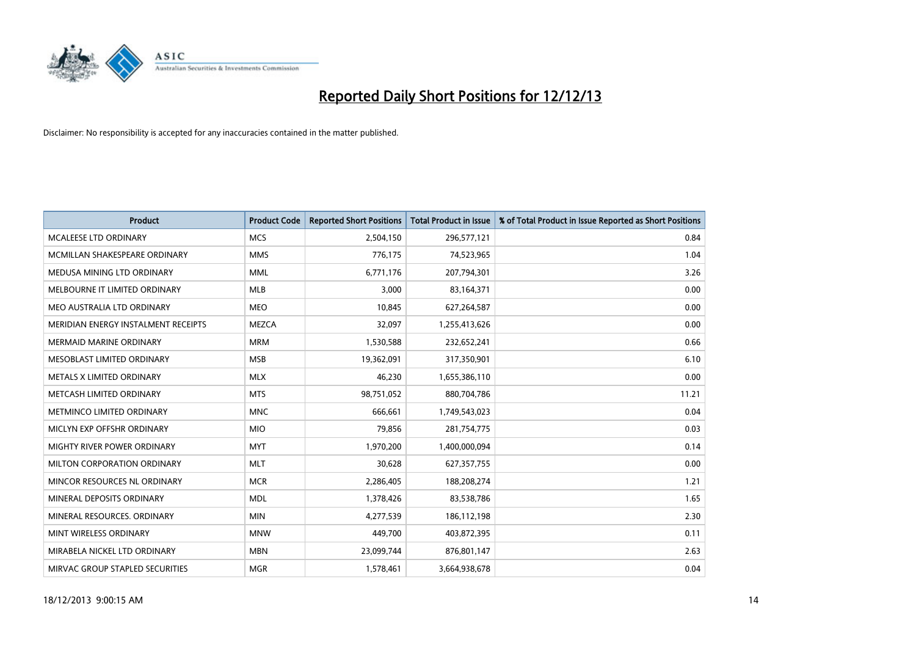

| <b>Product</b>                      | <b>Product Code</b> | <b>Reported Short Positions</b> | <b>Total Product in Issue</b> | % of Total Product in Issue Reported as Short Positions |
|-------------------------------------|---------------------|---------------------------------|-------------------------------|---------------------------------------------------------|
| MCALEESE LTD ORDINARY               | <b>MCS</b>          | 2,504,150                       | 296,577,121                   | 0.84                                                    |
| MCMILLAN SHAKESPEARE ORDINARY       | <b>MMS</b>          | 776,175                         | 74,523,965                    | 1.04                                                    |
| MEDUSA MINING LTD ORDINARY          | <b>MML</b>          | 6,771,176                       | 207,794,301                   | 3.26                                                    |
| MELBOURNE IT LIMITED ORDINARY       | <b>MLB</b>          | 3,000                           | 83,164,371                    | 0.00                                                    |
| MEO AUSTRALIA LTD ORDINARY          | <b>MEO</b>          | 10,845                          | 627,264,587                   | 0.00                                                    |
| MERIDIAN ENERGY INSTALMENT RECEIPTS | <b>MEZCA</b>        | 32,097                          | 1,255,413,626                 | 0.00                                                    |
| <b>MERMAID MARINE ORDINARY</b>      | <b>MRM</b>          | 1,530,588                       | 232,652,241                   | 0.66                                                    |
| MESOBLAST LIMITED ORDINARY          | <b>MSB</b>          | 19,362,091                      | 317,350,901                   | 6.10                                                    |
| METALS X LIMITED ORDINARY           | <b>MLX</b>          | 46,230                          | 1,655,386,110                 | 0.00                                                    |
| METCASH LIMITED ORDINARY            | <b>MTS</b>          | 98,751,052                      | 880,704,786                   | 11.21                                                   |
| METMINCO LIMITED ORDINARY           | <b>MNC</b>          | 666,661                         | 1,749,543,023                 | 0.04                                                    |
| MICLYN EXP OFFSHR ORDINARY          | <b>MIO</b>          | 79,856                          | 281,754,775                   | 0.03                                                    |
| MIGHTY RIVER POWER ORDINARY         | <b>MYT</b>          | 1,970,200                       | 1,400,000,094                 | 0.14                                                    |
| MILTON CORPORATION ORDINARY         | <b>MLT</b>          | 30,628                          | 627,357,755                   | 0.00                                                    |
| MINCOR RESOURCES NL ORDINARY        | <b>MCR</b>          | 2,286,405                       | 188,208,274                   | 1.21                                                    |
| MINERAL DEPOSITS ORDINARY           | <b>MDL</b>          | 1,378,426                       | 83,538,786                    | 1.65                                                    |
| MINERAL RESOURCES. ORDINARY         | <b>MIN</b>          | 4,277,539                       | 186,112,198                   | 2.30                                                    |
| MINT WIRELESS ORDINARY              | <b>MNW</b>          | 449,700                         | 403,872,395                   | 0.11                                                    |
| MIRABELA NICKEL LTD ORDINARY        | <b>MBN</b>          | 23,099,744                      | 876,801,147                   | 2.63                                                    |
| MIRVAC GROUP STAPLED SECURITIES     | <b>MGR</b>          | 1,578,461                       | 3,664,938,678                 | 0.04                                                    |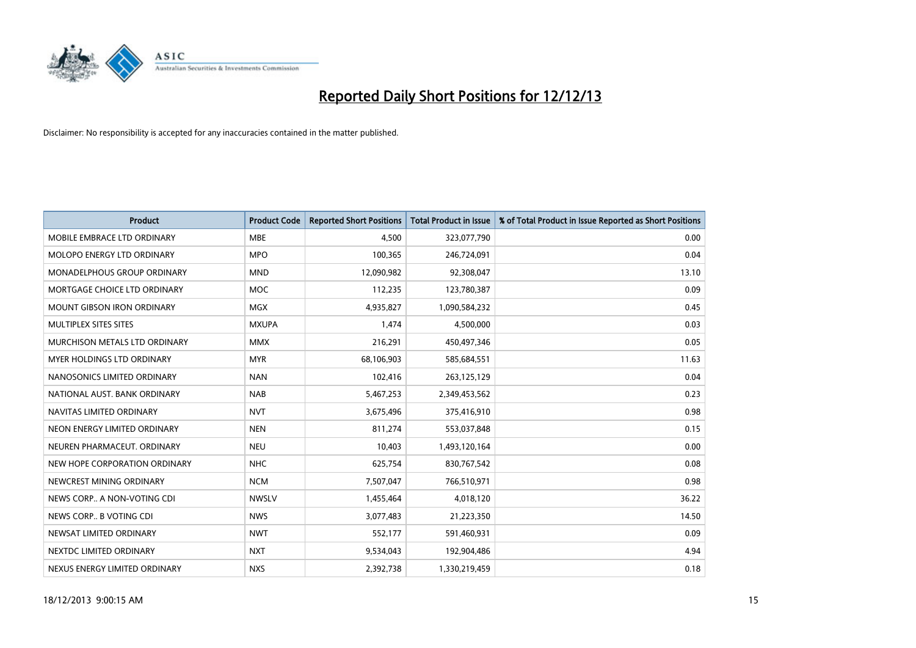

| <b>Product</b>                     | <b>Product Code</b> | <b>Reported Short Positions</b> | <b>Total Product in Issue</b> | % of Total Product in Issue Reported as Short Positions |
|------------------------------------|---------------------|---------------------------------|-------------------------------|---------------------------------------------------------|
| MOBILE EMBRACE LTD ORDINARY        | <b>MBE</b>          | 4.500                           | 323,077,790                   | 0.00                                                    |
| MOLOPO ENERGY LTD ORDINARY         | <b>MPO</b>          | 100,365                         | 246,724,091                   | 0.04                                                    |
| <b>MONADELPHOUS GROUP ORDINARY</b> | <b>MND</b>          | 12,090,982                      | 92,308,047                    | 13.10                                                   |
| MORTGAGE CHOICE LTD ORDINARY       | <b>MOC</b>          | 112,235                         | 123,780,387                   | 0.09                                                    |
| <b>MOUNT GIBSON IRON ORDINARY</b>  | <b>MGX</b>          | 4,935,827                       | 1,090,584,232                 | 0.45                                                    |
| MULTIPLEX SITES SITES              | <b>MXUPA</b>        | 1,474                           | 4,500,000                     | 0.03                                                    |
| MURCHISON METALS LTD ORDINARY      | <b>MMX</b>          | 216,291                         | 450,497,346                   | 0.05                                                    |
| <b>MYER HOLDINGS LTD ORDINARY</b>  | <b>MYR</b>          | 68,106,903                      | 585,684,551                   | 11.63                                                   |
| NANOSONICS LIMITED ORDINARY        | <b>NAN</b>          | 102,416                         | 263,125,129                   | 0.04                                                    |
| NATIONAL AUST, BANK ORDINARY       | <b>NAB</b>          | 5,467,253                       | 2,349,453,562                 | 0.23                                                    |
| NAVITAS LIMITED ORDINARY           | <b>NVT</b>          | 3,675,496                       | 375,416,910                   | 0.98                                                    |
| NEON ENERGY LIMITED ORDINARY       | <b>NEN</b>          | 811,274                         | 553,037,848                   | 0.15                                                    |
| NEUREN PHARMACEUT, ORDINARY        | <b>NEU</b>          | 10,403                          | 1,493,120,164                 | 0.00                                                    |
| NEW HOPE CORPORATION ORDINARY      | <b>NHC</b>          | 625,754                         | 830,767,542                   | 0.08                                                    |
| NEWCREST MINING ORDINARY           | <b>NCM</b>          | 7,507,047                       | 766,510,971                   | 0.98                                                    |
| NEWS CORP A NON-VOTING CDI         | <b>NWSLV</b>        | 1,455,464                       | 4,018,120                     | 36.22                                                   |
| NEWS CORP B VOTING CDI             | <b>NWS</b>          | 3,077,483                       | 21,223,350                    | 14.50                                                   |
| NEWSAT LIMITED ORDINARY            | <b>NWT</b>          | 552,177                         | 591,460,931                   | 0.09                                                    |
| NEXTDC LIMITED ORDINARY            | <b>NXT</b>          | 9,534,043                       | 192,904,486                   | 4.94                                                    |
| NEXUS ENERGY LIMITED ORDINARY      | <b>NXS</b>          | 2,392,738                       | 1,330,219,459                 | 0.18                                                    |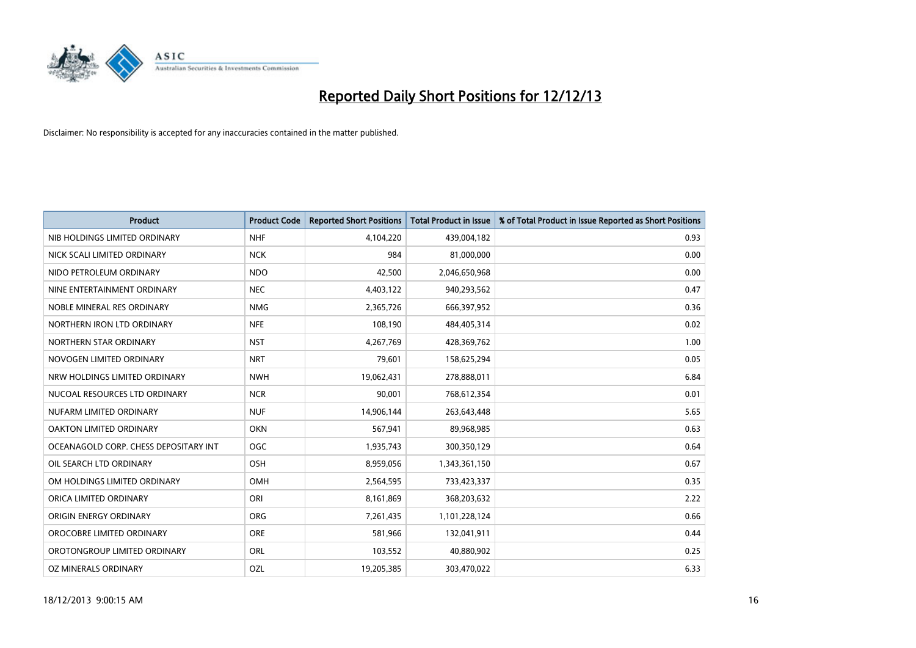

| <b>Product</b>                        | <b>Product Code</b> | <b>Reported Short Positions</b> | <b>Total Product in Issue</b> | % of Total Product in Issue Reported as Short Positions |
|---------------------------------------|---------------------|---------------------------------|-------------------------------|---------------------------------------------------------|
| NIB HOLDINGS LIMITED ORDINARY         | <b>NHF</b>          | 4,104,220                       | 439,004,182                   | 0.93                                                    |
| NICK SCALI LIMITED ORDINARY           | <b>NCK</b>          | 984                             | 81,000,000                    | 0.00                                                    |
| NIDO PETROLEUM ORDINARY               | <b>NDO</b>          | 42,500                          | 2,046,650,968                 | 0.00                                                    |
| NINE ENTERTAINMENT ORDINARY           | <b>NEC</b>          | 4,403,122                       | 940,293,562                   | 0.47                                                    |
| NOBLE MINERAL RES ORDINARY            | <b>NMG</b>          | 2,365,726                       | 666,397,952                   | 0.36                                                    |
| NORTHERN IRON LTD ORDINARY            | <b>NFE</b>          | 108,190                         | 484,405,314                   | 0.02                                                    |
| NORTHERN STAR ORDINARY                | <b>NST</b>          | 4,267,769                       | 428,369,762                   | 1.00                                                    |
| NOVOGEN LIMITED ORDINARY              | <b>NRT</b>          | 79,601                          | 158,625,294                   | 0.05                                                    |
| NRW HOLDINGS LIMITED ORDINARY         | <b>NWH</b>          | 19,062,431                      | 278,888,011                   | 6.84                                                    |
| NUCOAL RESOURCES LTD ORDINARY         | <b>NCR</b>          | 90,001                          | 768,612,354                   | 0.01                                                    |
| NUFARM LIMITED ORDINARY               | <b>NUF</b>          | 14,906,144                      | 263,643,448                   | 5.65                                                    |
| OAKTON LIMITED ORDINARY               | <b>OKN</b>          | 567,941                         | 89,968,985                    | 0.63                                                    |
| OCEANAGOLD CORP. CHESS DEPOSITARY INT | <b>OGC</b>          | 1,935,743                       | 300,350,129                   | 0.64                                                    |
| OIL SEARCH LTD ORDINARY               | OSH                 | 8,959,056                       | 1,343,361,150                 | 0.67                                                    |
| OM HOLDINGS LIMITED ORDINARY          | OMH                 | 2,564,595                       | 733,423,337                   | 0.35                                                    |
| ORICA LIMITED ORDINARY                | ORI                 | 8,161,869                       | 368,203,632                   | 2.22                                                    |
| ORIGIN ENERGY ORDINARY                | <b>ORG</b>          | 7,261,435                       | 1,101,228,124                 | 0.66                                                    |
| OROCOBRE LIMITED ORDINARY             | <b>ORE</b>          | 581,966                         | 132,041,911                   | 0.44                                                    |
| OROTONGROUP LIMITED ORDINARY          | ORL                 | 103,552                         | 40,880,902                    | 0.25                                                    |
| OZ MINERALS ORDINARY                  | OZL                 | 19,205,385                      | 303,470,022                   | 6.33                                                    |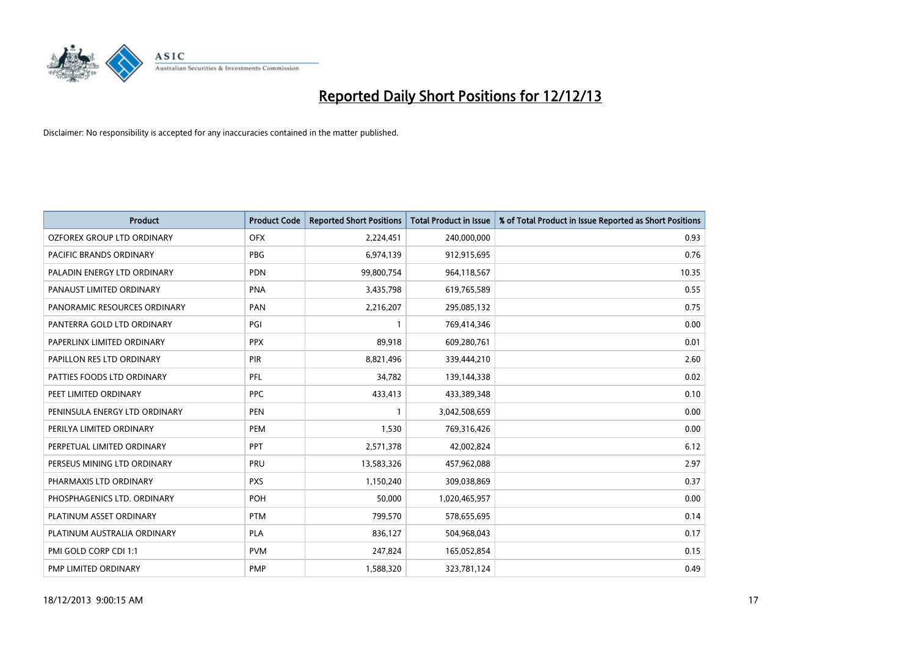

| <b>Product</b>                 | <b>Product Code</b> | <b>Reported Short Positions</b> | <b>Total Product in Issue</b> | % of Total Product in Issue Reported as Short Positions |
|--------------------------------|---------------------|---------------------------------|-------------------------------|---------------------------------------------------------|
| OZFOREX GROUP LTD ORDINARY     | <b>OFX</b>          | 2,224,451                       | 240,000,000                   | 0.93                                                    |
| <b>PACIFIC BRANDS ORDINARY</b> | <b>PBG</b>          | 6,974,139                       | 912,915,695                   | 0.76                                                    |
| PALADIN ENERGY LTD ORDINARY    | <b>PDN</b>          | 99,800,754                      | 964,118,567                   | 10.35                                                   |
| PANAUST LIMITED ORDINARY       | <b>PNA</b>          | 3,435,798                       | 619,765,589                   | 0.55                                                    |
| PANORAMIC RESOURCES ORDINARY   | PAN                 | 2,216,207                       | 295,085,132                   | 0.75                                                    |
| PANTERRA GOLD LTD ORDINARY     | PGI                 | $\mathbf{1}$                    | 769,414,346                   | 0.00                                                    |
| PAPERLINX LIMITED ORDINARY     | <b>PPX</b>          | 89,918                          | 609,280,761                   | 0.01                                                    |
| PAPILLON RES LTD ORDINARY      | PIR                 | 8,821,496                       | 339,444,210                   | 2.60                                                    |
| PATTIES FOODS LTD ORDINARY     | PFL                 | 34,782                          | 139,144,338                   | 0.02                                                    |
| PEET LIMITED ORDINARY          | <b>PPC</b>          | 433,413                         | 433,389,348                   | 0.10                                                    |
| PENINSULA ENERGY LTD ORDINARY  | <b>PEN</b>          |                                 | 3,042,508,659                 | 0.00                                                    |
| PERILYA LIMITED ORDINARY       | PEM                 | 1,530                           | 769,316,426                   | 0.00                                                    |
| PERPETUAL LIMITED ORDINARY     | <b>PPT</b>          | 2,571,378                       | 42,002,824                    | 6.12                                                    |
| PERSEUS MINING LTD ORDINARY    | <b>PRU</b>          | 13,583,326                      | 457,962,088                   | 2.97                                                    |
| PHARMAXIS LTD ORDINARY         | <b>PXS</b>          | 1,150,240                       | 309,038,869                   | 0.37                                                    |
| PHOSPHAGENICS LTD. ORDINARY    | <b>POH</b>          | 50,000                          | 1,020,465,957                 | 0.00                                                    |
| PLATINUM ASSET ORDINARY        | <b>PTM</b>          | 799,570                         | 578,655,695                   | 0.14                                                    |
| PLATINUM AUSTRALIA ORDINARY    | <b>PLA</b>          | 836,127                         | 504,968,043                   | 0.17                                                    |
| PMI GOLD CORP CDI 1:1          | <b>PVM</b>          | 247,824                         | 165,052,854                   | 0.15                                                    |
| PMP LIMITED ORDINARY           | <b>PMP</b>          | 1,588,320                       | 323,781,124                   | 0.49                                                    |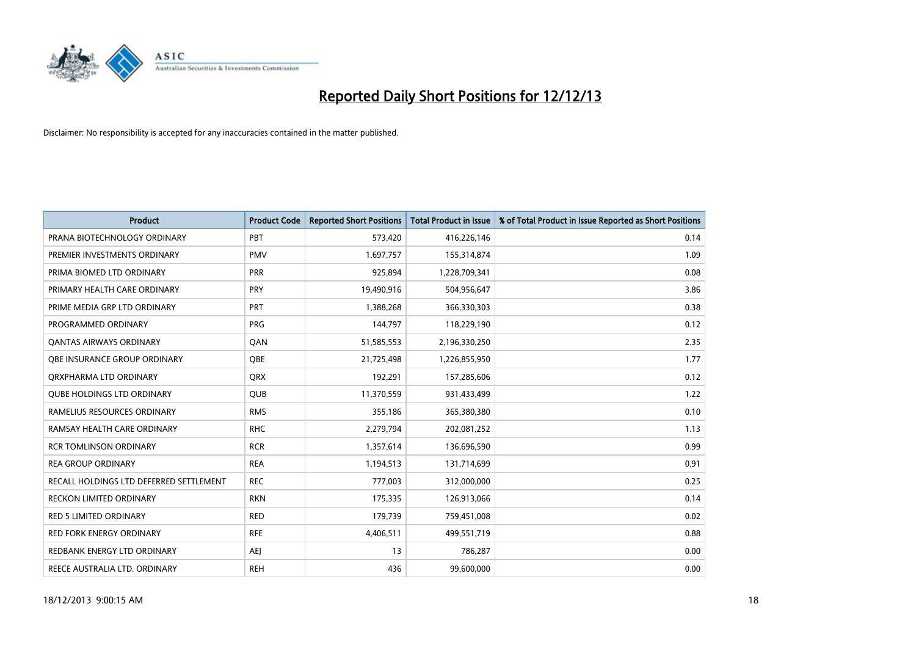

| <b>Product</b>                          | <b>Product Code</b> | <b>Reported Short Positions</b> | <b>Total Product in Issue</b> | % of Total Product in Issue Reported as Short Positions |
|-----------------------------------------|---------------------|---------------------------------|-------------------------------|---------------------------------------------------------|
| PRANA BIOTECHNOLOGY ORDINARY            | PBT                 | 573,420                         | 416,226,146                   | 0.14                                                    |
| PREMIER INVESTMENTS ORDINARY            | <b>PMV</b>          | 1,697,757                       | 155,314,874                   | 1.09                                                    |
| PRIMA BIOMED LTD ORDINARY               | <b>PRR</b>          | 925,894                         | 1,228,709,341                 | 0.08                                                    |
| PRIMARY HEALTH CARE ORDINARY            | <b>PRY</b>          | 19,490,916                      | 504,956,647                   | 3.86                                                    |
| PRIME MEDIA GRP LTD ORDINARY            | PRT                 | 1,388,268                       | 366,330,303                   | 0.38                                                    |
| PROGRAMMED ORDINARY                     | <b>PRG</b>          | 144,797                         | 118,229,190                   | 0.12                                                    |
| <b>QANTAS AIRWAYS ORDINARY</b>          | QAN                 | 51,585,553                      | 2,196,330,250                 | 2.35                                                    |
| OBE INSURANCE GROUP ORDINARY            | <b>OBE</b>          | 21,725,498                      | 1,226,855,950                 | 1.77                                                    |
| ORXPHARMA LTD ORDINARY                  | QRX                 | 192,291                         | 157,285,606                   | 0.12                                                    |
| <b>OUBE HOLDINGS LTD ORDINARY</b>       | <b>QUB</b>          | 11,370,559                      | 931,433,499                   | 1.22                                                    |
| RAMELIUS RESOURCES ORDINARY             | <b>RMS</b>          | 355,186                         | 365,380,380                   | 0.10                                                    |
| RAMSAY HEALTH CARE ORDINARY             | <b>RHC</b>          | 2,279,794                       | 202,081,252                   | 1.13                                                    |
| <b>RCR TOMLINSON ORDINARY</b>           | <b>RCR</b>          | 1,357,614                       | 136,696,590                   | 0.99                                                    |
| <b>REA GROUP ORDINARY</b>               | <b>REA</b>          | 1,194,513                       | 131,714,699                   | 0.91                                                    |
| RECALL HOLDINGS LTD DEFERRED SETTLEMENT | <b>REC</b>          | 777,003                         | 312,000,000                   | 0.25                                                    |
| <b>RECKON LIMITED ORDINARY</b>          | <b>RKN</b>          | 175,335                         | 126,913,066                   | 0.14                                                    |
| <b>RED 5 LIMITED ORDINARY</b>           | <b>RED</b>          | 179,739                         | 759,451,008                   | 0.02                                                    |
| <b>RED FORK ENERGY ORDINARY</b>         | <b>RFE</b>          | 4,406,511                       | 499,551,719                   | 0.88                                                    |
| REDBANK ENERGY LTD ORDINARY             | <b>AEI</b>          | 13                              | 786,287                       | 0.00                                                    |
| REECE AUSTRALIA LTD. ORDINARY           | <b>REH</b>          | 436                             | 99,600,000                    | 0.00                                                    |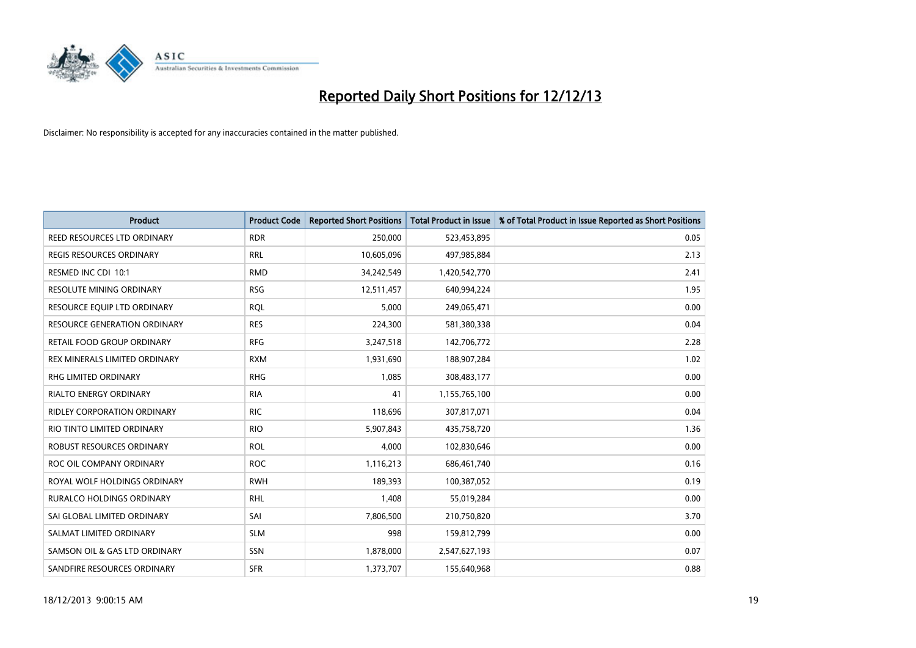

| Product                             | <b>Product Code</b> | <b>Reported Short Positions</b> | <b>Total Product in Issue</b> | % of Total Product in Issue Reported as Short Positions |
|-------------------------------------|---------------------|---------------------------------|-------------------------------|---------------------------------------------------------|
| REED RESOURCES LTD ORDINARY         | <b>RDR</b>          | 250,000                         | 523,453,895                   | 0.05                                                    |
| <b>REGIS RESOURCES ORDINARY</b>     | <b>RRL</b>          | 10,605,096                      | 497,985,884                   | 2.13                                                    |
| RESMED INC CDI 10:1                 | <b>RMD</b>          | 34,242,549                      | 1,420,542,770                 | 2.41                                                    |
| <b>RESOLUTE MINING ORDINARY</b>     | <b>RSG</b>          | 12,511,457                      | 640,994,224                   | 1.95                                                    |
| RESOURCE EQUIP LTD ORDINARY         | <b>ROL</b>          | 5,000                           | 249,065,471                   | 0.00                                                    |
| <b>RESOURCE GENERATION ORDINARY</b> | <b>RES</b>          | 224,300                         | 581,380,338                   | 0.04                                                    |
| RETAIL FOOD GROUP ORDINARY          | <b>RFG</b>          | 3,247,518                       | 142,706,772                   | 2.28                                                    |
| REX MINERALS LIMITED ORDINARY       | <b>RXM</b>          | 1,931,690                       | 188,907,284                   | 1.02                                                    |
| <b>RHG LIMITED ORDINARY</b>         | <b>RHG</b>          | 1,085                           | 308,483,177                   | 0.00                                                    |
| <b>RIALTO ENERGY ORDINARY</b>       | <b>RIA</b>          | 41                              | 1,155,765,100                 | 0.00                                                    |
| RIDLEY CORPORATION ORDINARY         | <b>RIC</b>          | 118,696                         | 307,817,071                   | 0.04                                                    |
| RIO TINTO LIMITED ORDINARY          | <b>RIO</b>          | 5,907,843                       | 435,758,720                   | 1.36                                                    |
| ROBUST RESOURCES ORDINARY           | <b>ROL</b>          | 4,000                           | 102,830,646                   | 0.00                                                    |
| ROC OIL COMPANY ORDINARY            | <b>ROC</b>          | 1,116,213                       | 686,461,740                   | 0.16                                                    |
| ROYAL WOLF HOLDINGS ORDINARY        | <b>RWH</b>          | 189,393                         | 100,387,052                   | 0.19                                                    |
| RURALCO HOLDINGS ORDINARY           | <b>RHL</b>          | 1,408                           | 55,019,284                    | 0.00                                                    |
| SAI GLOBAL LIMITED ORDINARY         | SAI                 | 7,806,500                       | 210,750,820                   | 3.70                                                    |
| SALMAT LIMITED ORDINARY             | <b>SLM</b>          | 998                             | 159,812,799                   | 0.00                                                    |
| SAMSON OIL & GAS LTD ORDINARY       | SSN                 | 1,878,000                       | 2,547,627,193                 | 0.07                                                    |
| SANDFIRE RESOURCES ORDINARY         | <b>SFR</b>          | 1,373,707                       | 155,640,968                   | 0.88                                                    |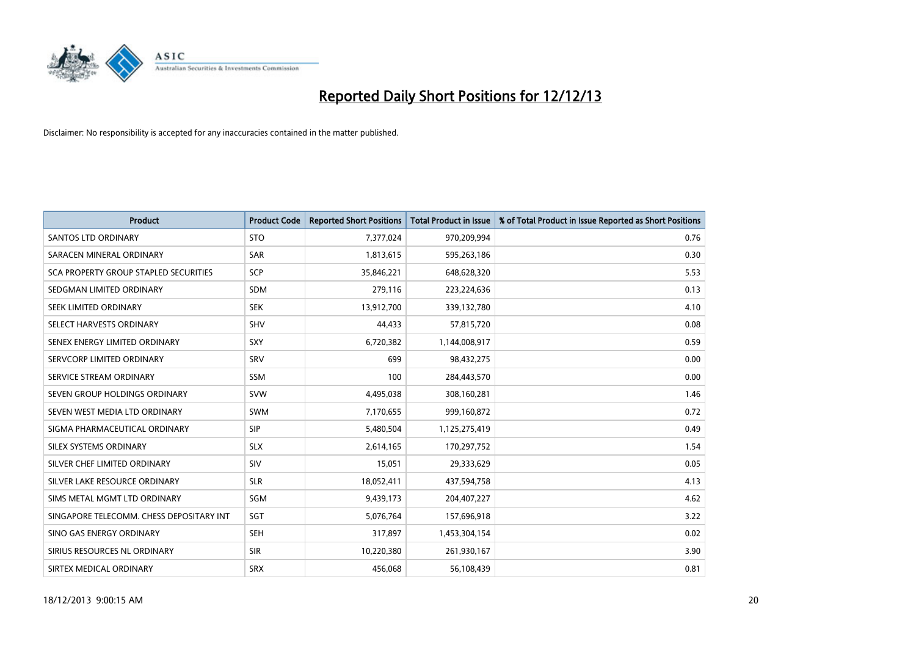

| <b>Product</b>                           | <b>Product Code</b> | <b>Reported Short Positions</b> | <b>Total Product in Issue</b> | % of Total Product in Issue Reported as Short Positions |
|------------------------------------------|---------------------|---------------------------------|-------------------------------|---------------------------------------------------------|
| <b>SANTOS LTD ORDINARY</b>               | <b>STO</b>          | 7,377,024                       | 970,209,994                   | 0.76                                                    |
| SARACEN MINERAL ORDINARY                 | SAR                 | 1,813,615                       | 595,263,186                   | 0.30                                                    |
| SCA PROPERTY GROUP STAPLED SECURITIES    | <b>SCP</b>          | 35,846,221                      | 648,628,320                   | 5.53                                                    |
| SEDGMAN LIMITED ORDINARY                 | <b>SDM</b>          | 279,116                         | 223,224,636                   | 0.13                                                    |
| SEEK LIMITED ORDINARY                    | <b>SEK</b>          | 13,912,700                      | 339,132,780                   | 4.10                                                    |
| SELECT HARVESTS ORDINARY                 | SHV                 | 44,433                          | 57,815,720                    | 0.08                                                    |
| SENEX ENERGY LIMITED ORDINARY            | <b>SXY</b>          | 6,720,382                       | 1,144,008,917                 | 0.59                                                    |
| SERVCORP LIMITED ORDINARY                | SRV                 | 699                             | 98,432,275                    | 0.00                                                    |
| SERVICE STREAM ORDINARY                  | <b>SSM</b>          | 100                             | 284,443,570                   | 0.00                                                    |
| SEVEN GROUP HOLDINGS ORDINARY            | <b>SVW</b>          | 4,495,038                       | 308,160,281                   | 1.46                                                    |
| SEVEN WEST MEDIA LTD ORDINARY            | SWM                 | 7,170,655                       | 999,160,872                   | 0.72                                                    |
| SIGMA PHARMACEUTICAL ORDINARY            | <b>SIP</b>          | 5,480,504                       | 1,125,275,419                 | 0.49                                                    |
| SILEX SYSTEMS ORDINARY                   | <b>SLX</b>          | 2,614,165                       | 170,297,752                   | 1.54                                                    |
| SILVER CHEF LIMITED ORDINARY             | SIV                 | 15,051                          | 29,333,629                    | 0.05                                                    |
| SILVER LAKE RESOURCE ORDINARY            | <b>SLR</b>          | 18,052,411                      | 437,594,758                   | 4.13                                                    |
| SIMS METAL MGMT LTD ORDINARY             | SGM                 | 9,439,173                       | 204,407,227                   | 4.62                                                    |
| SINGAPORE TELECOMM. CHESS DEPOSITARY INT | SGT                 | 5,076,764                       | 157,696,918                   | 3.22                                                    |
| SINO GAS ENERGY ORDINARY                 | <b>SEH</b>          | 317,897                         | 1,453,304,154                 | 0.02                                                    |
| SIRIUS RESOURCES NL ORDINARY             | <b>SIR</b>          | 10,220,380                      | 261,930,167                   | 3.90                                                    |
| SIRTEX MEDICAL ORDINARY                  | <b>SRX</b>          | 456,068                         | 56,108,439                    | 0.81                                                    |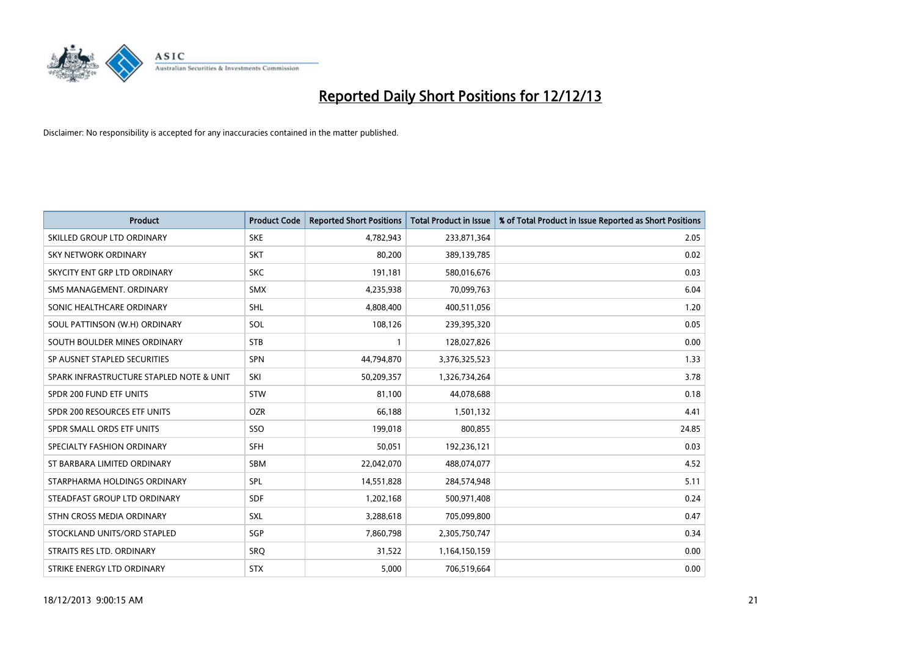

| <b>Product</b>                           | <b>Product Code</b> | <b>Reported Short Positions</b> | <b>Total Product in Issue</b> | % of Total Product in Issue Reported as Short Positions |
|------------------------------------------|---------------------|---------------------------------|-------------------------------|---------------------------------------------------------|
| SKILLED GROUP LTD ORDINARY               | <b>SKE</b>          | 4,782,943                       | 233,871,364                   | 2.05                                                    |
| SKY NETWORK ORDINARY                     | <b>SKT</b>          | 80,200                          | 389,139,785                   | 0.02                                                    |
| SKYCITY ENT GRP LTD ORDINARY             | <b>SKC</b>          | 191,181                         | 580,016,676                   | 0.03                                                    |
| SMS MANAGEMENT. ORDINARY                 | <b>SMX</b>          | 4,235,938                       | 70,099,763                    | 6.04                                                    |
| SONIC HEALTHCARE ORDINARY                | <b>SHL</b>          | 4,808,400                       | 400,511,056                   | 1.20                                                    |
| SOUL PATTINSON (W.H) ORDINARY            | SOL                 | 108,126                         | 239,395,320                   | 0.05                                                    |
| SOUTH BOULDER MINES ORDINARY             | <b>STB</b>          |                                 | 128,027,826                   | 0.00                                                    |
| SP AUSNET STAPLED SECURITIES             | <b>SPN</b>          | 44,794,870                      | 3,376,325,523                 | 1.33                                                    |
| SPARK INFRASTRUCTURE STAPLED NOTE & UNIT | SKI                 | 50,209,357                      | 1,326,734,264                 | 3.78                                                    |
| SPDR 200 FUND ETF UNITS                  | <b>STW</b>          | 81,100                          | 44,078,688                    | 0.18                                                    |
| SPDR 200 RESOURCES ETF UNITS             | <b>OZR</b>          | 66,188                          | 1,501,132                     | 4.41                                                    |
| SPDR SMALL ORDS ETF UNITS                | SSO                 | 199,018                         | 800,855                       | 24.85                                                   |
| SPECIALTY FASHION ORDINARY               | <b>SFH</b>          | 50,051                          | 192,236,121                   | 0.03                                                    |
| ST BARBARA LIMITED ORDINARY              | SBM                 | 22,042,070                      | 488,074,077                   | 4.52                                                    |
| STARPHARMA HOLDINGS ORDINARY             | SPL                 | 14,551,828                      | 284,574,948                   | 5.11                                                    |
| STEADFAST GROUP LTD ORDINARY             | SDF                 | 1,202,168                       | 500,971,408                   | 0.24                                                    |
| STHN CROSS MEDIA ORDINARY                | SXL                 | 3,288,618                       | 705,099,800                   | 0.47                                                    |
| STOCKLAND UNITS/ORD STAPLED              | SGP                 | 7,860,798                       | 2,305,750,747                 | 0.34                                                    |
| STRAITS RES LTD. ORDINARY                | SRO                 | 31,522                          | 1,164,150,159                 | 0.00                                                    |
| STRIKE ENERGY LTD ORDINARY               | <b>STX</b>          | 5,000                           | 706,519,664                   | 0.00                                                    |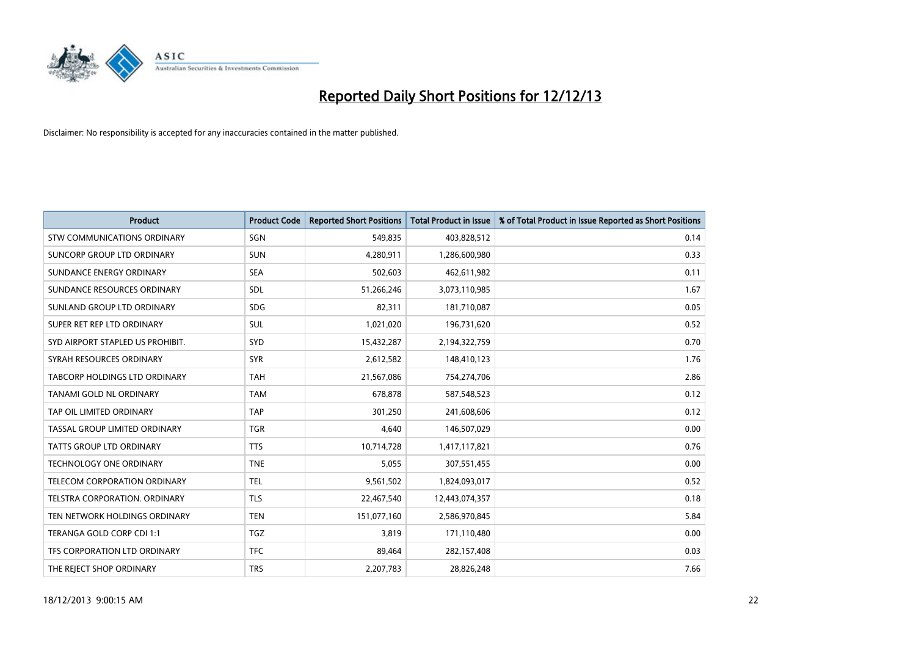

| <b>Product</b>                      | <b>Product Code</b> | <b>Reported Short Positions</b> | <b>Total Product in Issue</b> | % of Total Product in Issue Reported as Short Positions |
|-------------------------------------|---------------------|---------------------------------|-------------------------------|---------------------------------------------------------|
| <b>STW COMMUNICATIONS ORDINARY</b>  | SGN                 | 549,835                         | 403,828,512                   | 0.14                                                    |
| SUNCORP GROUP LTD ORDINARY          | <b>SUN</b>          | 4,280,911                       | 1,286,600,980                 | 0.33                                                    |
| SUNDANCE ENERGY ORDINARY            | <b>SEA</b>          | 502,603                         | 462,611,982                   | 0.11                                                    |
| SUNDANCE RESOURCES ORDINARY         | SDL                 | 51,266,246                      | 3,073,110,985                 | 1.67                                                    |
| SUNLAND GROUP LTD ORDINARY          | <b>SDG</b>          | 82,311                          | 181,710,087                   | 0.05                                                    |
| SUPER RET REP LTD ORDINARY          | <b>SUL</b>          | 1,021,020                       | 196,731,620                   | 0.52                                                    |
| SYD AIRPORT STAPLED US PROHIBIT.    | <b>SYD</b>          | 15,432,287                      | 2,194,322,759                 | 0.70                                                    |
| SYRAH RESOURCES ORDINARY            | <b>SYR</b>          | 2,612,582                       | 148,410,123                   | 1.76                                                    |
| TABCORP HOLDINGS LTD ORDINARY       | <b>TAH</b>          | 21,567,086                      | 754,274,706                   | 2.86                                                    |
| TANAMI GOLD NL ORDINARY             | <b>TAM</b>          | 678,878                         | 587,548,523                   | 0.12                                                    |
| TAP OIL LIMITED ORDINARY            | <b>TAP</b>          | 301,250                         | 241,608,606                   | 0.12                                                    |
| TASSAL GROUP LIMITED ORDINARY       | <b>TGR</b>          | 4,640                           | 146,507,029                   | 0.00                                                    |
| TATTS GROUP LTD ORDINARY            | <b>TTS</b>          | 10,714,728                      | 1,417,117,821                 | 0.76                                                    |
| <b>TECHNOLOGY ONE ORDINARY</b>      | <b>TNE</b>          | 5,055                           | 307,551,455                   | 0.00                                                    |
| <b>TELECOM CORPORATION ORDINARY</b> | <b>TEL</b>          | 9,561,502                       | 1,824,093,017                 | 0.52                                                    |
| TELSTRA CORPORATION, ORDINARY       | TLS                 | 22,467,540                      | 12,443,074,357                | 0.18                                                    |
| TEN NETWORK HOLDINGS ORDINARY       | <b>TEN</b>          | 151,077,160                     | 2,586,970,845                 | 5.84                                                    |
| TERANGA GOLD CORP CDI 1:1           | <b>TGZ</b>          | 3,819                           | 171,110,480                   | 0.00                                                    |
| TFS CORPORATION LTD ORDINARY        | <b>TFC</b>          | 89,464                          | 282,157,408                   | 0.03                                                    |
| THE REJECT SHOP ORDINARY            | <b>TRS</b>          | 2,207,783                       | 28,826,248                    | 7.66                                                    |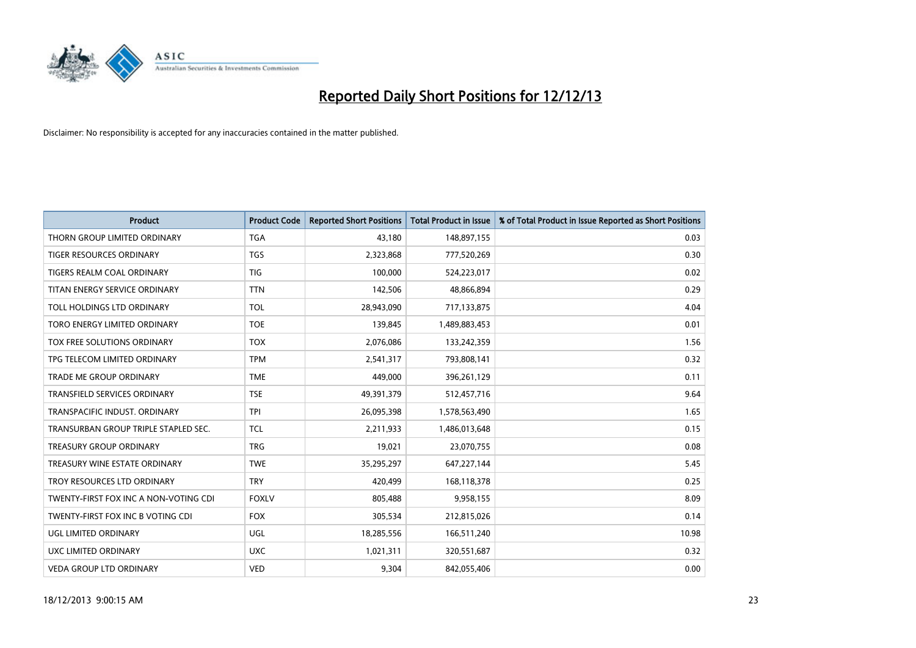

| <b>Product</b>                        | <b>Product Code</b> | <b>Reported Short Positions</b> | <b>Total Product in Issue</b> | % of Total Product in Issue Reported as Short Positions |
|---------------------------------------|---------------------|---------------------------------|-------------------------------|---------------------------------------------------------|
| THORN GROUP LIMITED ORDINARY          | <b>TGA</b>          | 43,180                          | 148,897,155                   | 0.03                                                    |
| TIGER RESOURCES ORDINARY              | <b>TGS</b>          | 2,323,868                       | 777,520,269                   | 0.30                                                    |
| TIGERS REALM COAL ORDINARY            | <b>TIG</b>          | 100,000                         | 524,223,017                   | 0.02                                                    |
| TITAN ENERGY SERVICE ORDINARY         | <b>TTN</b>          | 142,506                         | 48,866,894                    | 0.29                                                    |
| TOLL HOLDINGS LTD ORDINARY            | <b>TOL</b>          | 28,943,090                      | 717,133,875                   | 4.04                                                    |
| <b>TORO ENERGY LIMITED ORDINARY</b>   | <b>TOE</b>          | 139,845                         | 1,489,883,453                 | 0.01                                                    |
| TOX FREE SOLUTIONS ORDINARY           | <b>TOX</b>          | 2,076,086                       | 133,242,359                   | 1.56                                                    |
| TPG TELECOM LIMITED ORDINARY          | <b>TPM</b>          | 2,541,317                       | 793,808,141                   | 0.32                                                    |
| <b>TRADE ME GROUP ORDINARY</b>        | <b>TME</b>          | 449,000                         | 396,261,129                   | 0.11                                                    |
| TRANSFIELD SERVICES ORDINARY          | <b>TSE</b>          | 49,391,379                      | 512,457,716                   | 9.64                                                    |
| TRANSPACIFIC INDUST. ORDINARY         | <b>TPI</b>          | 26,095,398                      | 1,578,563,490                 | 1.65                                                    |
| TRANSURBAN GROUP TRIPLE STAPLED SEC.  | <b>TCL</b>          | 2,211,933                       | 1,486,013,648                 | 0.15                                                    |
| TREASURY GROUP ORDINARY               | <b>TRG</b>          | 19,021                          | 23,070,755                    | 0.08                                                    |
| TREASURY WINE ESTATE ORDINARY         | <b>TWE</b>          | 35,295,297                      | 647,227,144                   | 5.45                                                    |
| TROY RESOURCES LTD ORDINARY           | <b>TRY</b>          | 420,499                         | 168,118,378                   | 0.25                                                    |
| TWENTY-FIRST FOX INC A NON-VOTING CDI | <b>FOXLV</b>        | 805,488                         | 9,958,155                     | 8.09                                                    |
| TWENTY-FIRST FOX INC B VOTING CDI     | <b>FOX</b>          | 305,534                         | 212,815,026                   | 0.14                                                    |
| UGL LIMITED ORDINARY                  | UGL                 | 18,285,556                      | 166,511,240                   | 10.98                                                   |
| UXC LIMITED ORDINARY                  | <b>UXC</b>          | 1,021,311                       | 320,551,687                   | 0.32                                                    |
| <b>VEDA GROUP LTD ORDINARY</b>        | <b>VED</b>          | 9,304                           | 842,055,406                   | 0.00                                                    |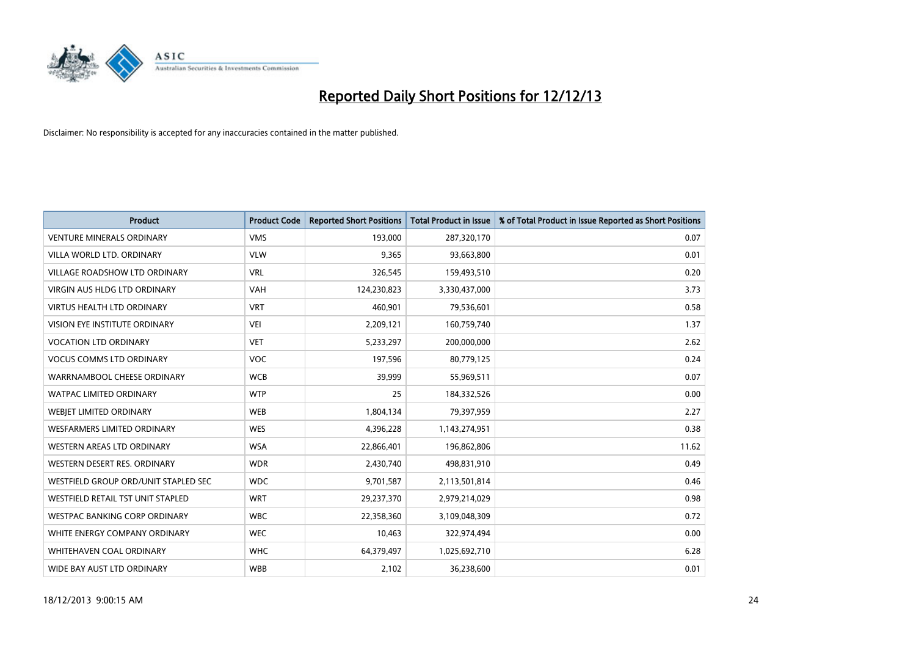

| <b>Product</b>                       | <b>Product Code</b> | <b>Reported Short Positions</b> | <b>Total Product in Issue</b> | % of Total Product in Issue Reported as Short Positions |
|--------------------------------------|---------------------|---------------------------------|-------------------------------|---------------------------------------------------------|
| <b>VENTURE MINERALS ORDINARY</b>     | <b>VMS</b>          | 193,000                         | 287,320,170                   | 0.07                                                    |
| VILLA WORLD LTD, ORDINARY            | <b>VLW</b>          | 9,365                           | 93,663,800                    | 0.01                                                    |
| VILLAGE ROADSHOW LTD ORDINARY        | <b>VRL</b>          | 326,545                         | 159,493,510                   | 0.20                                                    |
| VIRGIN AUS HLDG LTD ORDINARY         | <b>VAH</b>          | 124,230,823                     | 3,330,437,000                 | 3.73                                                    |
| <b>VIRTUS HEALTH LTD ORDINARY</b>    | <b>VRT</b>          | 460,901                         | 79,536,601                    | 0.58                                                    |
| <b>VISION EYE INSTITUTE ORDINARY</b> | <b>VEI</b>          | 2,209,121                       | 160,759,740                   | 1.37                                                    |
| <b>VOCATION LTD ORDINARY</b>         | <b>VET</b>          | 5,233,297                       | 200,000,000                   | 2.62                                                    |
| <b>VOCUS COMMS LTD ORDINARY</b>      | <b>VOC</b>          | 197,596                         | 80,779,125                    | 0.24                                                    |
| WARRNAMBOOL CHEESE ORDINARY          | <b>WCB</b>          | 39,999                          | 55,969,511                    | 0.07                                                    |
| <b>WATPAC LIMITED ORDINARY</b>       | <b>WTP</b>          | 25                              | 184,332,526                   | 0.00                                                    |
| WEBJET LIMITED ORDINARY              | <b>WEB</b>          | 1,804,134                       | 79,397,959                    | 2.27                                                    |
| <b>WESFARMERS LIMITED ORDINARY</b>   | <b>WES</b>          | 4,396,228                       | 1,143,274,951                 | 0.38                                                    |
| WESTERN AREAS LTD ORDINARY           | <b>WSA</b>          | 22,866,401                      | 196,862,806                   | 11.62                                                   |
| WESTERN DESERT RES. ORDINARY         | <b>WDR</b>          | 2,430,740                       | 498,831,910                   | 0.49                                                    |
| WESTFIELD GROUP ORD/UNIT STAPLED SEC | <b>WDC</b>          | 9,701,587                       | 2,113,501,814                 | 0.46                                                    |
| WESTFIELD RETAIL TST UNIT STAPLED    | <b>WRT</b>          | 29,237,370                      | 2,979,214,029                 | 0.98                                                    |
| <b>WESTPAC BANKING CORP ORDINARY</b> | <b>WBC</b>          | 22,358,360                      | 3,109,048,309                 | 0.72                                                    |
| WHITE ENERGY COMPANY ORDINARY        | <b>WEC</b>          | 10,463                          | 322,974,494                   | 0.00                                                    |
| WHITEHAVEN COAL ORDINARY             | <b>WHC</b>          | 64,379,497                      | 1,025,692,710                 | 6.28                                                    |
| WIDE BAY AUST LTD ORDINARY           | <b>WBB</b>          | 2,102                           | 36,238,600                    | 0.01                                                    |